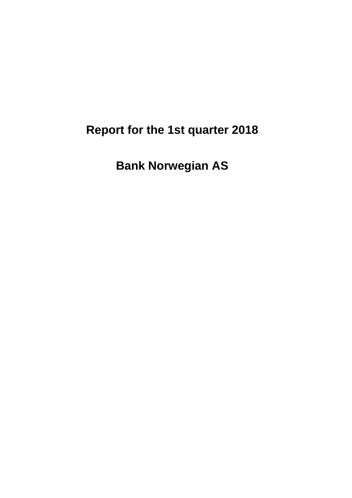# **Report for the 1st quarter 2018**

**Bank Norwegian AS**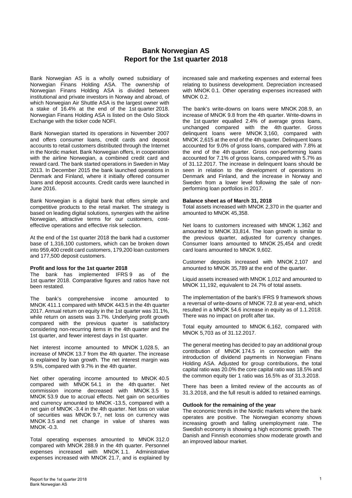# **Bank Norwegian AS Report for the 1st quarter 2018**

Bank Norwegian AS is a wholly owned subsidiary of Norwegian Finans Holding ASA. The ownership of Norwegian Finans Holding ASA is divided between institutional and private investors in Norway and abroad, of which Norwegian Air Shuttle ASA is the largest owner with a stake of 16.4% at the end of the 1st quarter 2018. Norwegian Finans Holding ASA is listed on the Oslo Stock Exchange with the ticker code NOFI.

Bank Norwegian started its operations in November 2007 and offers consumer loans, credit cards and deposit accounts to retail customers distributed through the Internet in the Nordic market. Bank Norwegian offers, in cooperation with the airline Norwegian, a combined credit card and reward card. The bank started operations in Sweden in May 2013. In December 2015 the bank launched operations in Denmark and Finland, where it initially offered consumer loans and deposit accounts. Credit cards were launched in June 2016.

Bank Norwegian is a digital bank that offers simple and competitive products to the retail market. The strategy is based on leading digital solutions, synergies with the airline Norwegian, attractive terms for our customers, costeffective operations and effective risk selection.

At the end of the 1st quarter 2018 the bank had a customer base of 1,316,100 customers, which can be broken down into 959,400 credit card customers, 179,200 loan customers and 177,500 deposit customers.

#### **Profit and loss for the 1st quarter 2018**

The bank has implemented IFRS 9 as of the 1st quarter 2018. Comparative figures and ratios have not been restated.

The bank's comprehensive income amounted to MNOK 411.1 compared with MNOK 443.5 in the 4th quarter 2017. Annual return on equity in the 1st quarter was 31.1%, while return on assets was 3.7%. Underlying profit growth compared with the previous quarter is satisfactory considering non-recurring items in the 4th quarter and the 1st quarter, and fewer interest days in 1st quarter.

Net interest income amounted to MNOK 1,028.5, an increase of MNOK 13.7 from the 4th quarter. The increase is explained by loan growth. The net interest margin was 9.5%, compared with 9.7% in the 4th quarter.

Net other operating income amounted to MNOK 40.5 compared with MNOK 54.1 in the 4th quarter. Net commission income decreased with MNOK 3.5 to MNOK 53.9 due to accrual effects. Net gain on securities and currency amounted to MNOK -13.5, compared with a net gain of MNOK -3.4 in the 4th quarter. Net loss on value of securities was MNOK 9.7, net loss on currency was MNOK 3.5 and net change in value of shares was MNOK -0.3.

Total operating expenses amounted to MNOK 312.0 compared with MNOK 288.9 in the 4th quarter. Personnel expenses increased with MNOK 1.1. Administrative expenses increased with MNOK 21.7, and is explained by increased sale and marketing expenses and external fees relating to business development. Depreciation increased with MNOK 0.1. Other operating expenses increased with MNOK 0.2.

The bank's write-downs on loans were MNOK 208.9, an increase of MNOK 9.8 from the 4th quarter. Write-downs in the 1st quarter equalled 2.4% of average gross loans, unchanged compared with the 4th quarter. Gross delinquent loans were MNOK 3,160, compared with MNOK 2,615 at the end of the 4th quarter. Delinquent loans accounted for 9.0% of gross loans, compared with 7.8% at the end of the 4th quarter. Gross non-performing loans accounted for 7.1% of gross loans, compared with 5.7% as of 31.12.2017. The increase in delinquent loans should be seen in relation to the development of operations in Denmark and Finland, and the increase in Norway and Sweden from a lower level following the sale of nonperforming loan portfolios in 2017.

#### **Balance sheet as of March 31, 2018**

Total assets increased with MNOK 2,370 in the quarter and amounted to MNOK 45,358.

Net loans to customers increased with MNOK 1,362 and amounted to MNOK 33,814. The loan growth is similar to the previous quarter, adjusted for currency changes. Consumer loans amounted to MNOK 25,454 and credit card loans amounted to MNOK 9,602.

Customer deposits increased with MNOK 2,107 and amounted to MNOK 35,789 at the end of the quarter.

Liquid assets increased with MNOK 1,012 and amounted to MNOK 11,192, equivalent to 24.7% of total assets.

The implementation of the bank's IFRS 9 framework shows a reversal of write-downs of MNOK 72.8 at year-end, which resulted in a MNOK 54.6 increase in equity as of 1.1.2018. There was no impact on profit after tax.

Total equity amounted to MNOK 6,162, compared with MNOK 5,703 as of 31.12.2017.

The general meeting has decided to pay an additional group contribution of MNOK 174.5 in connection with the introduction of dividend payments in Norwegian Finans Holding ASA. Adjusted for group contributions, the total capital ratio was 20.0% the core capital ratio was 18.5% and the common equity tier 1 ratio was 16.5% as of 31.3.2018.

There has been a limited review of the accounts as of 31.3.2018, and the full result is added to retained earnings.

#### **Outlook for the remaining of the year**

The economic trends in the Nordic markets where the bank operates are positive. The Norwegian economy shows increasing growth and falling unemployment rate. The Swedish economy is showing a high economic growth. The Danish and Finnish economies show moderate growth and an improved labour market.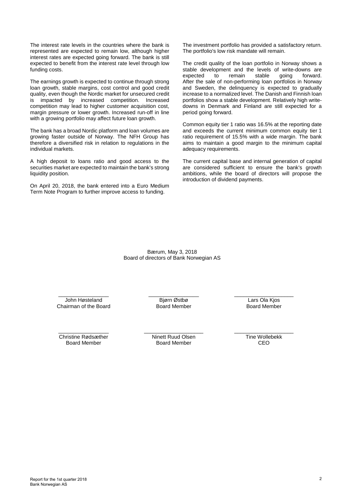The interest rate levels in the countries where the bank is represented are expected to remain low, although higher interest rates are expected going forward. The bank is still expected to benefit from the interest rate level through low funding costs.

The earnings growth is expected to continue through strong loan growth, stable margins, cost control and good credit quality, even though the Nordic market for unsecured credit is impacted by increased competition. Increased competition may lead to higher customer acquisition cost, margin pressure or lower growth. Increased run-off in line with a growing portfolio may affect future loan growth.

The bank has a broad Nordic platform and loan volumes are growing faster outside of Norway. The NFH Group has therefore a diversified risk in relation to regulations in the individual markets.

A high deposit to loans ratio and good access to the securities market are expected to maintain the bank's strong liquidity position.

On April 20, 2018, the bank entered into a Euro Medium Term Note Program to further improve access to funding.

The investment portfolio has provided a satisfactory return. The portfolio's low risk mandate will remain.

The credit quality of the loan portfolio in Norway shows a stable development and the levels of write-downs are<br>expected to remain stable going forward. expected to remain stable going forward. After the sale of non-performing loan portfolios in Norway and Sweden, the delinquency is expected to gradually increase to a normalized level. The Danish and Finnish loan portfolios show a stable development. Relatively high writedowns in Denmark and Finland are still expected for a period going forward.

Common equity tier 1 ratio was 16.5% at the reporting date and exceeds the current minimum common equity tier 1 ratio requirement of 15.5% with a wide margin. The bank aims to maintain a good margin to the minimum capital adequacy requirements.

The current capital base and internal generation of capital are considered sufficient to ensure the bank's growth ambitions, while the board of directors will propose the introduction of dividend payments.

Bærum, May 3, 2018 Board of directors of Bank Norwegian AS

\_\_\_\_\_\_\_\_\_\_\_\_\_\_\_\_\_ John Høsteland Chairman of the Board \_\_\_\_\_\_\_\_\_\_\_\_\_\_\_\_\_ Bjørn Østbø Board Member

\_\_\_\_\_\_\_\_\_\_\_\_\_\_\_\_\_\_\_\_ Lars Ola Kjos Board Member

\_\_\_\_\_\_\_\_\_\_\_\_\_\_\_\_\_ Christine Rødsæther Board Member

\_\_\_\_\_\_\_\_\_\_\_\_\_\_\_\_\_\_\_\_ Ninett Ruud Olsen Board Member

\_\_\_\_\_\_\_\_\_\_\_\_\_\_\_\_\_\_\_\_ Tine Wollebekk CEO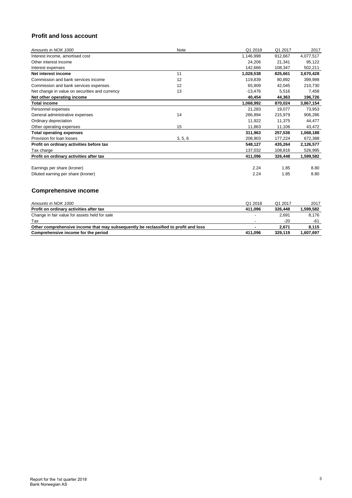# **Profit and loss account**

| Amounts in NOK 1000                            | <b>Note</b> | Q1 2018   | Q1 2017 | 2017      |
|------------------------------------------------|-------------|-----------|---------|-----------|
| Interest income, amortised cost                |             | 1,146,998 | 912,667 | 4,077,517 |
| Other interest income                          |             | 24,206    | 21,341  | 95,122    |
| Interest expenses                              |             | 142,666   | 108,347 | 502,211   |
| Net interest income                            | 11          | 1,028,538 | 825,661 | 3,670,428 |
| Commission and bank services income            | 12          | 119,839   | 80,892  | 399,998   |
| Commission and bank services expenses          | 12          | 65,909    | 42,045  | 210,730   |
| Net change in value on securities and currency | 13          | $-13,476$ | 5,516   | 7,458     |
| Net other operating income                     |             | 40,454    | 44,363  | 196,726   |
| <b>Total income</b>                            |             | 1,068,992 | 870,024 | 3,867,154 |
| Personnel expenses                             |             | 21,283    | 19,077  | 73,953    |
| General administrative expenses                | 14          | 266,894   | 215,979 | 906,286   |
| Ordinary depreciation                          |             | 11,922    | 11,375  | 44,477    |
| Other operating expenses                       | 15          | 11,863    | 11,106  | 43,472    |
| <b>Total operating expenses</b>                |             | 311,963   | 257,536 | 1,068,188 |
| Provision for loan losses                      | 3, 5, 6     | 208,903   | 177,224 | 672,388   |
| Profit on ordinary activities before tax       |             | 548,127   | 435,264 | 2,126,577 |
| Tax charge                                     |             | 137,032   | 108,816 | 526,995   |
| Profit on ordinary activities after tax        |             | 411,096   | 326,448 | 1,599,582 |
| Earnings per share (kroner)                    |             | 2.24      | 1.85    | 8.80      |
| Diluted earning per share (kroner)             |             | 2.24      | 1.85    | 8.80      |

# **Comprehensive income**

| Amounts in NOK 1000                                                                 | Q1 2018 | Q1 2017 | 2017      |
|-------------------------------------------------------------------------------------|---------|---------|-----------|
| Profit on ordinary activities after tax                                             | 411.096 | 326,448 | 599.582.ا |
| Change in fair value for assets held for sale                                       |         | 2.691   | 8.176     |
| Tax                                                                                 |         | $-20$   | $-61$     |
| Other comprehensive income that may subsequently be reclassified to profit and loss |         | 2.671   | 8.115     |
| Comprehensive income for the period                                                 | 411.096 | 329.119 | 1,607,697 |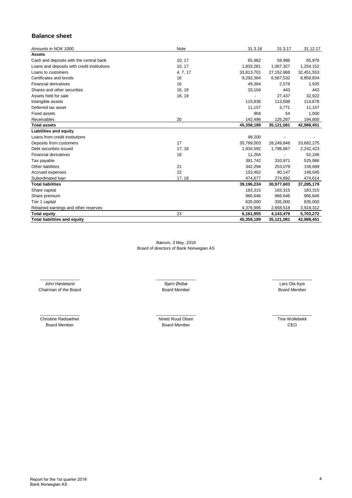# **Balance sheet**

| Amounts in NOK 1000                         | Note     | 31.3.18    | 31.3.17    | 31.12.17   |
|---------------------------------------------|----------|------------|------------|------------|
| <b>Assets</b>                               |          |            |            |            |
| Cash and deposits with the central bank     | 10, 17   | 65,982     | 59,986     | 65,976     |
| Loans and deposits with credit institutions | 10, 17   | 1,833,281  | 1,067,327  | 1,254,152  |
| Loans to customers                          | 4, 7, 17 | 33,813,701 | 27,152,968 | 32,451,553 |
| Certificates and bonds                      | 16       | 9,292,364  | 6,567,532  | 8,859,834  |
| <b>Financial derivatives</b>                | 16       | 49,364     | 2,578      | 1,935      |
| Shares and other securities                 | 16, 19   | 33,104     | 443        | 443        |
| Assets held for sale                        | 16, 19   |            | 27,437     | 32,922     |
| Intangible assets                           |          | 115,836    | 113,698    | 114,678    |
| Deferred tax asset                          |          | 11.157     | 3,771      | 11,157     |
| <b>Fixed assets</b>                         |          | 904        | 54         | 1,000      |
| Receivables                                 | 20       | 142,496    | 125,287    | 194,800    |
| <b>Total assets</b>                         |          | 45,358,189 | 35,121,081 | 42,988,451 |
| <b>Liabilities and equity</b>               |          |            |            |            |
| Loans from credit institutions              |          | 99,200     |            |            |
| Deposits from customers                     | 17       | 35,789,003 | 28,249,846 | 33,682,275 |
| Debt securities issued                      | 17, 18   | 1,934,592  | 1,798,667  | 2,242,423  |
| <b>Financial derivatives</b>                | 16       | 11,264     |            | 52,246     |
| Tax payable                                 |          | 391,742    | 310,971    | 525,886    |
| Other liabilities                           | 21       | 342,294    | 253,079    | 158,689    |
| Accrued expenses                            | 22       | 153,462    | 90,147     | 149,045    |
| Subordinated Ioan                           | 17, 18   | 474,677    | 274,892    | 474,614    |
| <b>Total liabilities</b>                    |          | 39,196,234 | 30,977,603 | 37,285,179 |
| Share capital                               |          | 183,315    | 183,315    | 183,315    |
| Share premium                               |          | 966,646    | 966,646    | 966,646    |
| Tier 1 capital                              |          | 635,000    | 335,000    | 635,000    |
| Retained earnings and other reserves        |          | 4,376,995  | 2,658,518  | 3,918,312  |
| <b>Total equity</b>                         | 23       | 6,161,955  | 4,143,479  | 5,703,272  |
| <b>Total liabilities and equity</b>         |          | 45,358,189 | 35,121,081 | 42,988,451 |

Bærum, 3 May, 2018 Board of directors of Bank Norwegian AS

Chairman of the Board \_\_\_\_\_\_\_\_\_\_\_\_\_\_\_\_\_ \_\_\_\_\_\_\_\_\_\_\_\_\_\_\_\_\_ John Høsteland

 $\overline{\phantom{a}}$  , we can assume that the contract of  $\overline{\phantom{a}}$ Christine Rødsæther Board Member

Board Member Bjørn Østbø

Board Member Lars Ola Kjos

 $\overline{\phantom{a}}$ Ninett Ruud Olsen Board Member

 $\overline{\phantom{a}}$ Tine Wollebekk CEO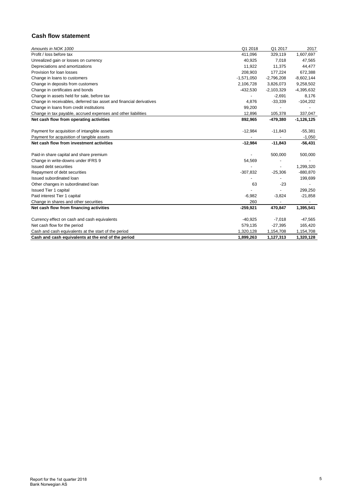# **Cash flow statement**

| Amounts in NOK 1000                                                 | Q1 2018      | Q1 2017      | 2017         |
|---------------------------------------------------------------------|--------------|--------------|--------------|
| Profit / loss before tax                                            | 411,096      | 329,119      | 1,607,697    |
| Unrealized gain or losses on currency                               | 40,925       | 7,018        | 47,565       |
| Depreciations and amortizations                                     | 11,922       | 11,375       | 44,477       |
| Provision for loan losses                                           | 208,903      | 177,224      | 672,388      |
| Change in loans to customers                                        | $-1,571,050$ | $-2,796,208$ | $-8,602,144$ |
| Change in deposits from customers                                   | 2,106,728    | 3,826,073    | 9,258,502    |
| Change in certificates and bonds                                    | $-432,530$   | $-2,103,329$ | $-4,395,632$ |
| Change in assets held for sale, before tax                          |              | $-2,691$     | 8,176        |
| Change in receivables, deferred tax asset and financial derivatives | 4,876        | $-33,339$    | $-104,202$   |
| Change in loans from credit institutions                            | 99,200       |              |              |
| Change in tax payable, accrued expenses and other liabilities       | 12,896       | 105,378      | 337,047      |
| Net cash flow from operating activities                             | 892,965      | $-479,380$   | $-1,126,125$ |
|                                                                     |              |              |              |
| Payment for acquisition of intangible assets                        | $-12,984$    | $-11,843$    | $-55,381$    |
| Payment for acquisition of tangible assets                          |              |              | $-1,050$     |
| Net cash flow from investment activities                            | $-12,984$    | $-11,843$    | $-56,431$    |
|                                                                     |              |              |              |
| Paid-in share capital and share premium                             |              | 500,000      | 500,000      |
| Change in write-downs under IFRS 9                                  | 54,569       |              |              |
| Issued debt securities                                              |              |              | 1,299,320    |
| Repayment of debt securities                                        | $-307,832$   | $-25,306$    | $-880,870$   |
| Issued subordinated loan                                            |              |              | 199,699      |
| Other changes in subordinated loan                                  | 63           | $-23$        |              |
| <b>Issued Tier 1 capital</b>                                        |              |              | 299,250      |
| Paid interest Tier 1 capital                                        | $-6,982$     | $-3,824$     | $-21,858$    |
| Change in shares and other securities                               | 260          |              |              |
| Net cash flow from financing activities                             | $-259,921$   | 470,847      | 1,395,541    |
|                                                                     |              |              |              |
| Currency effect on cash and cash equivalents                        | $-40,925$    | $-7,018$     | -47,565      |
| Net cash flow for the period                                        | 579,135      | $-27,395$    | 165,420      |
| Cash and cash equivalents at the start of the period                | 1,320,128    | 1,154,708    | 1,154,708    |
| Cash and cash equivalents at the end of the period                  | 1,899,263    | 1,127,313    | 1,320,128    |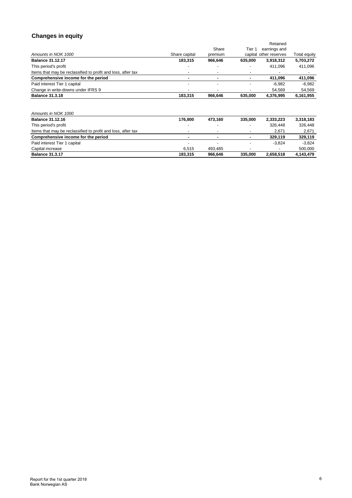# **Changes in equity**

|                                                              |               |         |         | Retained               |              |  |
|--------------------------------------------------------------|---------------|---------|---------|------------------------|--------------|--|
|                                                              |               | Share   | Tier 1  | earnings and           |              |  |
| Amounts in NOK 1000                                          | Share capital | premium |         | capital other reserves | Total equity |  |
| <b>Balance 31.12.17</b>                                      | 183,315       | 966,646 | 635,000 | 3,918,312              | 5,703,272    |  |
| This period's profit                                         |               |         |         | 411,096                | 411,096      |  |
| Items that may be reclassified to profit and loss, after tax |               |         |         |                        |              |  |
| Comprehensive income for the period                          | ۰             |         | ٠       | 411,096                | 411,096      |  |
| Paid interest Tier 1 capital                                 |               |         |         | $-6,982$               | $-6,982$     |  |
| Change in write-downs under IFRS 9                           |               |         |         | 54,569                 | 54,569       |  |
| <b>Balance 31.3.18</b>                                       | 183,315       | 966,646 | 635,000 | 4,376,995              | 6,161,955    |  |
|                                                              |               |         |         |                        |              |  |
| Amounts in NOK 1000                                          |               |         |         |                        |              |  |
| <b>Balance 31.12.16</b>                                      | 176,800       | 473,160 | 335,000 | 2,333,223              | 3,318,183    |  |
| This period's profit                                         |               |         |         | 326,448                | 326,448      |  |
| Items that may be reclassified to profit and loss, after tax |               |         |         | 2,671                  | 2,671        |  |
| Comprehensive income for the period                          | ۰             |         |         | 329,119                | 329,119      |  |
| Paid interest Tier 1 capital                                 |               |         |         | $-3,824$               | $-3,824$     |  |
| Capital increase                                             | 6,515         | 493,485 |         |                        | 500,000      |  |
| <b>Balance 31.3.17</b>                                       | 183,315       | 966,646 | 335,000 | 2,658,518              | 4,143,479    |  |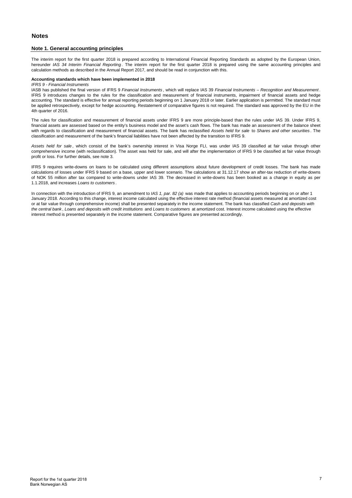#### **Note 1. General accounting principles**

The interim report for the first quarter 2018 is prepared according to International Financial Reporting Standards as adopted by the European Union, hereunder *IAS 34 Interim Financial Reporting* . The interim report for the first quarter 2018 is prepared using the same accounting principles and calculation methods as described in the Annual Report 2017, and should be read in conjunction with this.

#### **Accounting standards which have been implemented in 2018**

#### *IFRS 9 - Financial Instruments*

IASB has published the final version of IFRS 9 *Financial Instruments* , which will replace IAS 39 *Financial Instruments – Recognition and Measurement* . IFRS 9 introduces changes to the rules for the classification and measurement of financial instruments, impairment of financial assets and hedge accounting. The standard is effective for annual reporting periods beginning on 1 January 2018 or later. Earlier application is permitted. The standard must be applied retrospectively, except for hedge accounting. Restatement of comparative figures is not required. The standard was approved by the EU in the 4th quarter of 2016.

The rules for classification and measurement of financial assets under IFRS 9 are more principle-based than the rules under IAS 39. Under IFRS 9, financial assets are assessed based on the entity's business model and the asset's cash flows. The bank has made an assessment of the balance sheet with regards to classification and measurement of financial assets. The bank has reclassified *Assets held for sale* to *Shares and other securities* . The classification and measurement of the bank's financial liabilities have not been affected by the transition to IFRS 9.

*Assets held for sale* , which consist of the bank's ownership interest in Visa Norge FLI, was under IAS 39 classified at fair value through other comprehensive income (with reclassification). The asset was held for sale, and will after the implementation of IFRS 9 be classified at fair value through profit or loss. For further details, see note 3.

IFRS 9 requires write-downs on loans to be calculated using different assumptions about future development of credit losses. The bank has made calculations of losses under IFRS 9 based on a base, upper and lower scenario. The calculations at 31.12.17 show an after-tax reduction of write-downs of NOK 55 million after tax compared to write-downs under IAS 39. The decreased in write-downs has been booked as a change in equity as per 1.1.2018, and increases *Loans to customers* .

In connection with the introduction of IFRS 9, an amendment to *IAS 1, par. 82 (a)* was made that applies to accounting periods beginning on or after 1 January 2018. According to this change, interest income calculated using the effective interest rate method (financial assets measured at amortized cost or at fair value through comprehensive income) shall be presented separately in the income statement. The bank has classified *Cash and deposits with the central bank* , *Loans and deposits with credit institutions* and *Loans to customers* at amortized cost. Interest income calculated using the effective interest method is presented separately in the income statement. Comparative figures are presented accordingly.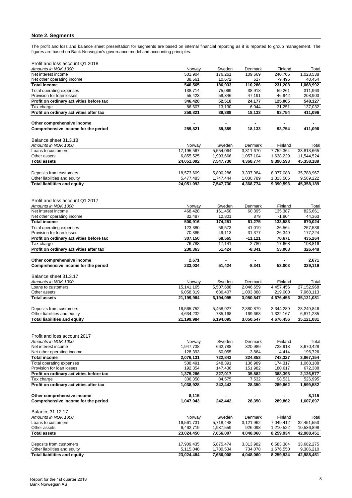## **Note 2. Segments**

The profit and loss and balance sheet presentation for segments are based on internal financial reporting as it is reported to group management. The figures are based on Bank Norwegian's governance model and accounting principles.

| Profit and loss account Q1 2018 |  |  |  |
|---------------------------------|--|--|--|
|---------------------------------|--|--|--|

| Amounts in NOK 1000                                               | Norway                  | Sweden                 | Denmark              | Finland                | Total                   |
|-------------------------------------------------------------------|-------------------------|------------------------|----------------------|------------------------|-------------------------|
| Net interest income                                               | 501,904                 | 176,261                | 109,669              | 240,705                | 1,028,538               |
| Net other operating income                                        | 38,661                  | 10,672                 | 617                  | $-9,496$               | 40,454                  |
| <b>Total income</b>                                               | 540,565<br>138,714      | 186,933<br>75,069      | 110,286              | 231,208                | 1,068,992               |
| Total operating expenses<br>Provision for loan losses             | 55,423                  | 59,346                 | 38,918<br>47,191     | 59,261<br>46,942       | 311,963<br>208,903      |
| Profit on ordinary activities before tax                          | 346,428                 | 52,518                 | 24,177               | 125,005                | 548,127                 |
| Tax charge                                                        | 86,607                  | 13,130                 | 6,044                | 31,251                 | 137,032                 |
| Profit on ordinary activities after tax                           | 259,821                 | 39,389                 | 18,133               | 93,754                 | 411,096                 |
| Other comprehensive income                                        |                         |                        |                      |                        |                         |
| Comprehensive income for the period                               | 259,821                 | 39,389                 | 18,133               | 93,754                 | 411,096                 |
|                                                                   |                         |                        |                      |                        |                         |
| Balance sheet 31.3.18                                             |                         |                        |                      |                        |                         |
| Amounts in NOK 1000                                               | Norway                  | Sweden                 | Denmark              | Finland                | Total                   |
| Loans to customers                                                | 17,195,567              | 5,554,064              | 3,311,670            | 7,752,364              | 33,813,665              |
| Other assets                                                      | 6,855,525               | 1,993,666              | 1,057,104            | 1,638,229              | 11,544,524              |
| <b>Total assets</b>                                               | 24,051,092              | 7,547,730              | 4,368,774            | 9,390,593              | 45,358,189              |
| Deposits from customers                                           | 18,573,609              | 5,800,286              | 3,337,984            | 8,077,088              | 35,788,967              |
| Other liabilities and equity                                      | 5,477,483               | 1,747,444              | 1,030,789            | 1,313,505              | 9,569,222               |
| <b>Total liabilities and equity</b>                               | 24,051,092              | 7,547,730              | 4,368,774            | 9,390,593              | 45,358,189              |
|                                                                   |                         |                        |                      |                        |                         |
| Profit and loss account Q1 2017                                   |                         |                        |                      |                        |                         |
| Amounts in NOK 1000                                               | Norway                  | Sweden                 | Denmark              | Finland                | Total                   |
| Net interest income                                               | 468,428                 | 161,450                | 60,395               | 135,387                | 825,661                 |
| Net other operating income                                        | 32,487                  | 12,801                 | 879                  | $-1,804$               | 44,363                  |
| <b>Total income</b>                                               | 500,916                 | 174,251                | 61,275               | 133,583                | 870,024                 |
| Total operating expenses                                          | 123,380                 | 56,573                 | 41,019               | 36,564                 | 257,536                 |
| Provision for loan losses                                         | 70,385                  | 49,113                 | 31,377               | 26,349                 | 177,224                 |
| Profit on ordinary activities before tax                          | 307,150                 | 68,565                 | $-11,121$            | 70,671                 | 435,264                 |
| Tax charge<br>Profit on ordinary activities after tax             | 76,788<br>230,363       | 17,141<br>51,424       | $-2,780$<br>$-8,341$ | 17,668<br>53,003       | 108,816<br>326,448      |
|                                                                   |                         |                        |                      |                        |                         |
|                                                                   |                         |                        |                      |                        |                         |
|                                                                   |                         |                        |                      |                        |                         |
| Other comprehensive income<br>Comprehensive income for the period | 2,671<br>233,034        | 51,424                 | $-8,341$             | 53,003                 | 2,671<br>329,119        |
|                                                                   |                         |                        |                      |                        |                         |
| Balance sheet 31.3.17                                             |                         |                        |                      |                        |                         |
| Amounts in NOK 1000                                               | Norway                  | Sweden                 | Denmark              | Finland                | Total                   |
| Loans to customers                                                | 15, 141, 165            | 5,507,688              | 2,046,659            | 4,457,456              | 27,152,968              |
| Other assets                                                      | 6,058,819               | 686,407                | 1,003,888            | 219,000                | 7,968,113               |
| <b>Total assets</b>                                               | 21,199,984              | 6,194,095              | 3,050,547            | 4,676,456              | 35,121,081              |
| Deposits from customers                                           |                         |                        |                      |                        |                         |
| Other liabilities and equity                                      | 16,565,752<br>4,634,232 | 5,458,927<br>735,168   | 2,880,879<br>169,668 | 3,344,289<br>1,332,167 | 28,249,846<br>6,871,235 |
| <b>Total liabilities and equity</b>                               | 21,199,984              | 6,194,095              | 3,050,547            | 4,676,456              | 35,121,081              |
|                                                                   |                         |                        |                      |                        |                         |
|                                                                   |                         |                        |                      |                        |                         |
| Profit and loss account 2017                                      |                         |                        |                      |                        |                         |
| Amounts in NOK 1000                                               | Norway                  | Sweden                 | Denmark              | Finland                | Total                   |
| Net interest income                                               | 1,947,738               | 662,788                | 320,989              | 738,913                | 3,670,428               |
| Net other operating income<br><b>Total income</b>                 | 128,393                 | 60,055<br>722,843      | 3,864<br>324,853     | 4,414<br>743,327       | 196,726                 |
| Total operating expenses                                          | 2,076,131<br>508,491    | 248,391                | 136,989              | 174,317                | 3,867,154<br>1,068,188  |
| Provision for loan losses                                         | 192,354                 | 147,436                | 151,982              | 180,617                | 672,388                 |
| Profit on ordinary activities before tax                          | 1,375,286               | 327,017                | 35,882               | 388,393                | 2,126,577               |
| Tax charge                                                        | 336,358                 | 84,575                 | 7,532                | 98,531                 | 526,995                 |
| Profit on ordinary activities after tax                           | 1,038,928               | 242,442                | 28,350               | 289,862                | 1,599,582               |
|                                                                   |                         |                        |                      |                        |                         |
| Other comprehensive income<br>Comprehensive income for the period | 8,115<br>1,047,043      | 242,442                | 28,350               | 289,862                | 8,115<br>1,607,697      |
|                                                                   |                         |                        |                      |                        |                         |
| Balance 31.12.17                                                  |                         |                        |                      |                        |                         |
| Amounts in NOK 1000                                               | Norway                  | Sweden                 | Denmark              | Finland                | Total                   |
| Loans to customers                                                | 16,561,731              | 5,718,448              | 3,121,962            | 7,049,412              | 32,451,553              |
| Other assets                                                      | 6,462,719               | 1,937,559              | 926,098              | 1,210,522              | 10,536,898              |
| <b>Total assets</b>                                               | 23,024,450              | 7,656,007              | 4,048,060            | 8,259,934              | 42,988,451              |
|                                                                   |                         |                        |                      |                        |                         |
| Deposits from customers<br>Other liabilities and equity           | 17,909,435<br>5,115,048 | 5,875,474<br>1,780,534 | 3,313,982<br>734,078 | 6,583,384<br>1,676,550 | 33,682,275<br>9,306,210 |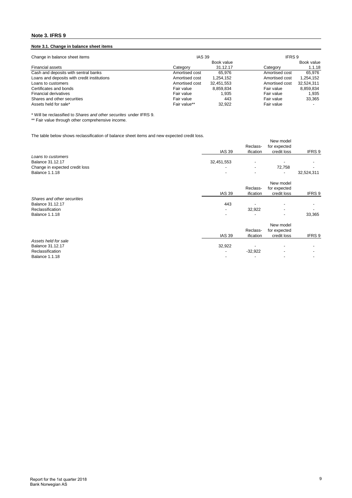## **Note 3. IFRS 9**

## **Note 3.1. Change in balance sheet items**

| <b>IAS 39</b><br>Change in balance sheet items |                |            | IFRS 9         |            |  |
|------------------------------------------------|----------------|------------|----------------|------------|--|
|                                                |                | Book value |                | Book value |  |
| <b>Financial assets</b>                        | Category       | 31.12.17   | Category       | 1.1.18     |  |
| Cash and deposits with sentral banks           | Amortised cost | 65.976     | Amortised cost | 65.976     |  |
| Loans and deposits with credit institutions    | Amortised cost | 1.254.152  | Amortised cost | 1,254,152  |  |
| Loans to customers                             | Amortised cost | 32.451.553 | Amortised cost | 32,524,311 |  |
| Certificates and bonds                         | Fair value     | 8.859.834  | Fair value     | 8.859.834  |  |
| Financial derivatives                          | Fair value     | 1.935      | Fair value     | 1.935      |  |
| Shares and other securities                    | Fair value     | 443        | Fair value     | 33.365     |  |
| Assets held for sale*                          | Fair value**   | 32.922     | Fair value     |            |  |

\* Will be reclassified to *Shares and other securites* under IFRS 9.

\*\* Fair value through other comprehensive income.

The table below shows reclassification of balance sheet items and new expected credit loss.

| The table below shows reclassification of balance sheet items and new expected credit loss. |               |           |                          |            |
|---------------------------------------------------------------------------------------------|---------------|-----------|--------------------------|------------|
|                                                                                             |               |           | New model                |            |
|                                                                                             |               | Reclass-  | for expected             |            |
|                                                                                             | <b>IAS 39</b> | ification | credit loss              | IFRS 9     |
| Loans to customers                                                                          |               |           |                          |            |
| Balance 31.12.17                                                                            | 32,451,553    |           |                          |            |
| Change in expected credit loss                                                              |               |           | 72,758                   |            |
| <b>Balance 1.1.18</b>                                                                       |               |           |                          | 32,524,311 |
|                                                                                             |               |           | New model                |            |
|                                                                                             |               | Reclass-  | for expected             |            |
|                                                                                             | <b>IAS 39</b> | ification | credit loss              | IFRS 9     |
| Shares and other securities                                                                 |               |           |                          |            |
| Balance 31.12.17                                                                            | 443           |           |                          |            |
| Reclassification                                                                            |               | 32,922    | $\overline{\phantom{a}}$ |            |
| <b>Balance 1.1.18</b>                                                                       | ٠             |           | ٠                        | 33,365     |
|                                                                                             |               |           |                          |            |
|                                                                                             |               |           | New model                |            |
|                                                                                             |               | Reclass-  | for expected             |            |
|                                                                                             | <b>IAS 39</b> | ification | credit loss              | IFRS 9     |
| Assets held for sale                                                                        |               |           |                          |            |
| <b>Balance 31.12.17</b>                                                                     | 32,922        |           |                          |            |
| Reclassification                                                                            |               | $-32,922$ |                          |            |
| <b>Balance 1.1.18</b>                                                                       |               |           |                          |            |
|                                                                                             |               |           |                          |            |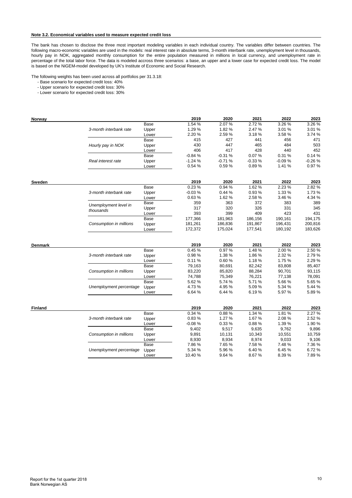#### **Note 3.2. Economical variables used to measure expected credit loss**

The bank has chosen to disclose the three most important modeling variables in each individual country. The variables differ between countries. The following macro-economic variables are used in the models: real interest rate in absolute terms, 3-month interbank rate, unemployment level in thousands, hourly pay in NOK, aggregated monthly consumption for the entire population measured in millions in local currency, and unemployment rate in percentage of the total labor force. The data is modeled accross three scenarios: a base, an upper and a lower case for expected credit loss. The model is based on the NiGEM-model developed by UK's Institute of Economic and Social Research.

The following weights has been used across all portfolios per 31.3.18:

- Base scenario for expected credit loss: 40%

- Upper scenario for expected credit loss: 30%

- Lower scenario for expected credit loss: 30%

| Norway         |                         |               | 2019     | 2020     | 2021     | 2022     | 2023     |
|----------------|-------------------------|---------------|----------|----------|----------|----------|----------|
|                |                         | Base          | 1.54 %   | 2.07%    | 2.72%    | 3.26 %   | 3.26 %   |
|                | 3-month interbank rate  | Upper         | 1.29 %   | 1.82%    | 2.47%    | 3.01 %   | 3.01%    |
|                |                         | Lower         | 2.20%    | 2.59%    | 3.18%    | 3.58%    | 3.74 %   |
|                |                         | Base          | 415      | 427      | 441      | 456      | 471      |
|                | Hourly pay in NOK       | Upper         | 430      | 447      | 465      | 484      | 503      |
|                |                         | Lower         | 406      | 417      | 428      | 440      | 452      |
|                |                         | Base          | $-0.84%$ | $-0.31%$ | 0.07%    | 0.31%    | 0.14%    |
|                | Real interest rate      | Upper         | $-1.24%$ | $-0.71%$ | $-0.33%$ | $-0.09%$ | $-0.26%$ |
|                |                         | Lower         | 0.54 %   | 0.59%    | 0.89%    | 1.41%    | 0.97%    |
|                |                         |               | 2019     | 2020     | 2021     | 2022     | 2023     |
| Sweden         |                         | Base          | 0.23%    | 0.94%    | 1.62%    | 2.23 %   | 2.82%    |
|                | 3-month interbank rate  |               | $-0.03%$ | 0.44%    | 0.93%    | 1.33 %   | 1.73%    |
|                |                         | Upper         | 0.63%    | 1.62%    | 2.58%    | 3.46%    | 4.34 %   |
|                |                         | Lower<br>Base | 359      | 363      | 372      | 383      | 389      |
|                | Unemployment level in   |               | 317      | 320      | 326      | 331      | 345      |
|                | thousands               | Upper         |          |          |          |          |          |
|                |                         | Lower         | 393      | 399      | 409      | 423      | 431      |
|                |                         | Base          | 177,366  | 181,963  | 186,156  | 190,161  | 194,175  |
|                | Consumption in millions | Upper         | 181,261  | 186,836  | 191,867  | 196,431  | 200,816  |
|                |                         | Lower         | 172,372  | 175,024  | 177,541  | 180,192  | 183,626  |
| <b>Denmark</b> |                         |               | 2019     | 2020     | 2021     | 2022     | 2023     |
|                |                         | Base          | 0.45%    | 0.97%    | 1.48%    | 2.00%    | 2.50%    |
|                | 3-month interbank rate  | Upper         | 0.98%    | 1.38%    | 1.86%    | 2.32 %   | 2.79%    |
|                |                         | Lower         | 0.11%    | 0.60%    | 1.18%    | 1.75%    | 2.29%    |
|                |                         | <b>Base</b>   | 79,163   | 80,691   | 82,242   | 83,808   | 85,407   |
|                | Consumption in millions | Upper         | 83,220   | 85,820   | 88,284   | 90,701   | 93,115   |
|                |                         | Lower         | 74,788   | 75,349   | 76,221   | 77,138   | 78,091   |
|                |                         | Base          | 5.62%    | 5.74 %   | 5.71%    | 5.66%    | 5.65 %   |
|                | Unemployment percentage | Upper         | 4.73%    | 4.95%    | 5.09%    | 5.34 %   | 5.44 %   |
|                |                         | Lower         | 6.64%    | 6.44 %   | 6.19%    | 5.97 %   | 5.89%    |
|                |                         |               |          |          |          |          |          |
| <b>Finland</b> |                         |               | 2019     | 2020     | 2021     | 2022     | 2023     |
|                |                         | Base          | 0.34 %   | 0.88%    | 1.34 %   | 1.81%    | 2.27 %   |
|                | 3-month interbank rate  | Upper         | 0.83%    | 1.27%    | 1.67%    | 2.08%    | 2.52%    |
|                |                         | Lower         | $-0.08%$ | 0.33%    | 0.88%    | 1.39 %   | 1.90%    |
|                |                         | Base          | 9,402    | 9,517    | 9,635    | 9,762    | 9,896    |
|                | Consumption in millions | Upper         | 9,891    | 10,131   | 10,343   | 10,551   | 10,759   |
|                |                         | Lower         | 8,930    | 8,934    | 8,974    | 9,033    | 9,106    |
|                |                         | Base          | 7.86%    | 7.65%    | 7.58%    | 7.48%    | 7.36%    |
|                | Unemployment percentage | Upper         | 5.34 %   | 5.96%    | 6.40%    | 6.45%    | 6.72%    |
|                |                         | Lower         | 10.40%   | 9.64%    | 8.67%    | 8.39%    | 7.89%    |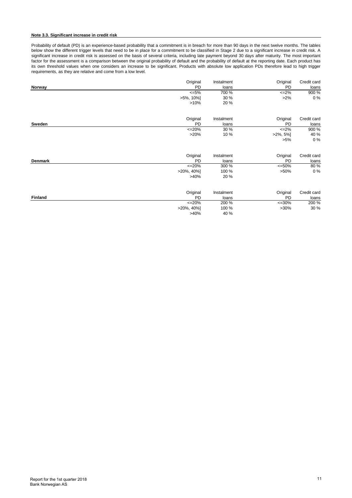#### **Note 3.3. Significant increase in credit risk**

Probability of default (PD) is an experience-based probability that a commitment is in breach for more than 90 days in the next twelve months. The tables below show the different trigger levels that need to be in place for a commitment to be classified in Stage 2 due to a significant increase in credit risk. A significant increase in credit risk is assessed on the basis of several criteria, including late payment beyond 30 days after maturity. The most important factor for the assessment is a comparison between the original probability of default and the probability of default at the reporting date. Each product has its own threshold values when one considers an increase to be significant. Products with absolute low application PDs therefore lead to high trigger requirements, as they are relative and come from a low level.

| Original       | Instalment | Original             | Credit card |
|----------------|------------|----------------------|-------------|
| Norway         | <b>PD</b>  | <b>PD</b><br>loans   | loans       |
|                | $<=5\%$    | 700 %<br>$\leq$ -2%  | 900 %       |
| $>5\%$ , 10%]  |            | $>2\%$<br>30 %       | $0\%$       |
|                | >10%       | 20 %                 |             |
| Original       | Instalment | Original             | Credit card |
| Sweden         | <b>PD</b>  | <b>PD</b><br>loans   | loans       |
| $<=20\%$       |            | 30 %<br>$<=2\%$      | 900 %       |
|                | >20%       | 10 %<br>$>2\%$ , 5%] | 40 %        |
|                |            | $>5\%$               | $0\%$       |
| Original       | Instalment | Original             | Credit card |
| <b>Denmark</b> | <b>PD</b>  | <b>PD</b><br>loans   | loans       |
| $<=20%$        |            | 300 %<br>$<=50\%$    | 80%         |
| $>20\%$ , 40%] |            | 100 %<br>$>50\%$     | $0\%$       |
|                | >40%       | 20 %                 |             |
| Original       | Instalment | Original             | Credit card |
| <b>Finland</b> | <b>PD</b>  | <b>PD</b><br>loans   | loans       |
| $<=20\%$       |            | 200 %<br>$<=30\%$    | 200 %       |
| $>20\%$ , 40%] |            | 100 %<br>$>30\%$     | 30 %        |
|                | >40%       | 40 %                 |             |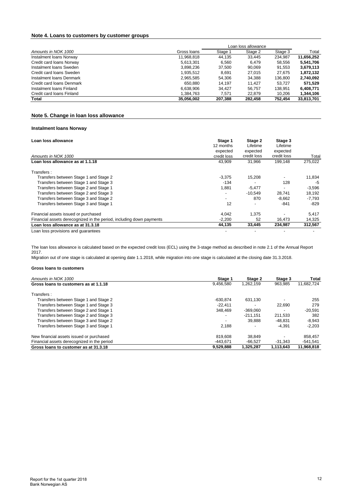## **Note 4. Loans to customers by customer groups**

|                           |             | Loan loss allowance |         |         |            |
|---------------------------|-------------|---------------------|---------|---------|------------|
| Amounts in NOK 1000       | Gross Ioans | Stage 1             | Stage 2 | Stage 3 | Total      |
| Instalment Ioans Norway   | 11,968,818  | 44.135              | 33.445  | 234.987 | 11.656.252 |
| Credit card loans Norway  | 5.613.301   | 6.560               | 6.479   | 58,556  | 5,541,706  |
| Instalment Ioans Sweden   | 3.898.236   | 37.500              | 90.069  | 91,553  | 3,679,113  |
| Credit card loans Sweden  | 1.935.512   | 8.691               | 27.015  | 27.675  | 1.872.132  |
| Instalment Ioans Denmark  | 2,965,585   | 54,306              | 34,388  | 136,800 | 2,740,092  |
| Credit card loans Denmark | 650.880     | 14.197              | 11.427  | 53.727  | 571,529    |
| Instalment Ioans Finland  | 6.638.906   | 34.427              | 56.757  | 138.951 | 6,408,771  |
| Credit card loans Finland | 1,384,763   | 7.571               | 22.879  | 10,206  | 1,344,106  |
| Total                     | 35,056,002  | 207,388             | 282,458 | 752.454 | 33,813,701 |

## **Note 5. Change in loan loss allowance**

## **Instalment loans Norway**

| Loan loss allowance                                                  | Stage 1<br>12 months<br>expected | Stage 2<br>Lifetime<br>expected | Stage 3<br>Lifetime<br>expected |          |
|----------------------------------------------------------------------|----------------------------------|---------------------------------|---------------------------------|----------|
| Amounts in NOK 1000                                                  | credit loss                      | credit loss                     | credit loss                     | Total    |
| Loan loss allowance as at 1.1.18                                     | 43,909                           | 31.966                          | 199.148                         | 275,022  |
| Transfers:                                                           |                                  |                                 |                                 |          |
| Transfers between Stage 1 and Stage 2                                | $-3,375$                         | 15,208                          |                                 | 11,834   |
| Transfers between Stage 1 and Stage 3                                | $-134$                           |                                 | 128                             | -5       |
| Transfers between Stage 2 and Stage 1                                | 1,881                            | $-5,477$                        |                                 | $-3,596$ |
| Transfers between Stage 2 and Stage 3                                | $\overline{\phantom{a}}$         | $-10.549$                       | 28.741                          | 18,192   |
| Transfers between Stage 3 and Stage 2                                | $\overline{\phantom{0}}$         | 870                             | $-8.662$                        | $-7,793$ |
| Transfers between Stage 3 and Stage 1                                | 12                               |                                 | $-841$                          | $-829$   |
| Financial assets issued or purchased                                 | 4,042                            | 1,375                           |                                 | 5,417    |
| Financial assets derecognized in the period, including down payments | $-2,200$                         | 52                              | 16,473                          | 14,325   |
| Loan loss allowance as at 31.3.18                                    | 44,135                           | 33,445                          | 234,987                         | 312,567  |
| Loan loss provisions and quarantees                                  |                                  |                                 |                                 |          |

The loan loss allowance is calculated based on the expected credit loss (ECL) using the 3-stage method as described in note 2.1 of the Annual Report 2017.

Migration out of one stage is calculated at opening date 1.1.2018, while migration into one stage is calculated at the closing date 31.3.2018.

| Amounts in NOK 1000                         | Stage 1                  | Stage 2    | Stage 3                  | Total      |
|---------------------------------------------|--------------------------|------------|--------------------------|------------|
| Gross loans to customers as at 1.1.18       | 9.456.580                | 1,262,159  | 963.985                  | 11,682,724 |
| Transfers:                                  |                          |            |                          |            |
| Transfers between Stage 1 and Stage 2       | $-630.874$               | 631.130    | $\overline{\phantom{0}}$ | 255        |
| Transfers between Stage 1 and Stage 3       | $-22.411$                |            | 22.690                   | 279        |
| Transfers between Stage 2 and Stage 1       | 348.469                  | $-369.060$ |                          | $-20.591$  |
| Transfers between Stage 2 and Stage 3       | $\overline{\phantom{a}}$ | $-211.151$ | 211.533                  | 382        |
| Transfers between Stage 3 and Stage 2       | $\overline{\phantom{a}}$ | 39.888     | -48.831                  | $-8,943$   |
| Transfers between Stage 3 and Stage 1       | 2.188                    |            | $-4.391$                 | $-2.203$   |
| New financial assets issued or purchased    | 819.608                  | 38.849     |                          | 858,457    |
| Financial assets derecognized in the period | $-443.671$               | $-66.527$  | $-31.343$                | $-541.541$ |
| Gross loans to customer as at 31.3.18       | 9,529,888                | 1,325,287  | 1.113.643                | 11,968,818 |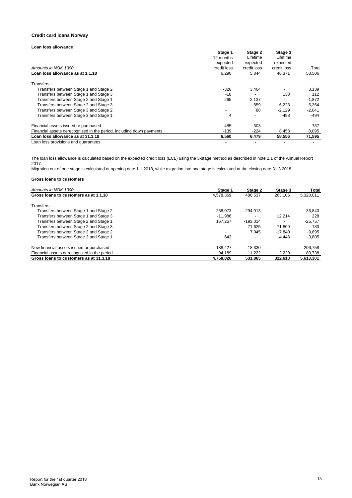#### **Credit card loans Norway**

## **Loan loss allowance**

|                                                                      | Stage 1                  | Stage 2     | Stage 3     |          |
|----------------------------------------------------------------------|--------------------------|-------------|-------------|----------|
|                                                                      | 12 months<br>expected    | Lifetime    | Lifetime    |          |
|                                                                      |                          | expected    | expected    |          |
| Amounts in NOK 1000                                                  | credit loss              | credit loss | credit loss | Total    |
| Loan loss allowance as at 1.1.18                                     | 6,290                    | 5,844       | 46,371      | 58,506   |
| Transfers :                                                          |                          |             |             |          |
| Transfers between Stage 1 and Stage 2                                | $-326$                   | 3.464       |             | 3.139    |
| Transfers between Stage 1 and Stage 3                                | $-18$                    |             | 130         | 112      |
| Transfers between Stage 2 and Stage 1                                | 265                      | $-2.137$    |             | $-1,872$ |
| Transfers between Stage 2 and Stage 3                                | -                        | $-859$      | 6,223       | 5,364    |
| Transfers between Stage 3 and Stage 2                                | $\overline{\phantom{a}}$ | 88          | $-2.129$    | $-2,041$ |
| Transfers between Stage 3 and Stage 1                                | 4                        |             | -498        | -494     |
| Financial assets issued or purchased                                 | 485                      | 303         |             | 787      |
| Financial assets derecognized in the period, including down payments | $-139$                   | $-224$      | 8,458       | 8,095    |
| Loan loss allowance as at 31.3.18                                    | 6.560                    | 6.479       | 58.556      | 71,595   |
| Loan loss provisions and quarantons                                  |                          |             |             |          |

Loan loss provisions and guarantees

The loan loss allowance is calculated based on the expected credit loss (ECL) using the 3-stage method as described in note 2.1 of the Annual Report 2017.

Migration out of one stage is calculated at opening date 1.1.2018, while migration into one stage is calculated at the closing date 31.3.2018.

| Amounts in NOK 1000                         | Stage 1                  | Stage 2    | Stage 3   | Total     |
|---------------------------------------------|--------------------------|------------|-----------|-----------|
| Gross loans to customers as at 1.1.18       | 4.578.369                | 486.537    | 263.105   | 5,328,011 |
| Transfers:                                  |                          |            |           |           |
| Transfers between Stage 1 and Stage 2       | $-258.073$               | 294.913    |           | 36.840    |
| Transfers between Stage 1 and Stage 3       | $-11.986$                |            | 12.214    | 228       |
| Transfers between Stage 2 and Stage 1       | 167.257                  | $-193.014$ |           | $-25.757$ |
| Transfers between Stage 2 and Stage 3       | $\overline{\phantom{0}}$ | $-71.625$  | 71.809    | 183       |
| Transfers between Stage 3 and Stage 2       | $\overline{\phantom{a}}$ | 7.945      | $-17.840$ | $-9,895$  |
| Transfers between Stage 3 and Stage 1       | 643                      |            | -4.448    | $-3.805$  |
| New financial assets issued or purchased    | 188.427                  | 18.330     |           | 206.758   |
| Financial assets derecognized in the period | 94.189                   | $-11.222$  | $-2.229$  | 80.738    |
| Gross loans to customers as at 31.3.18      | 4.758.826                | 531.865    | 322.610   | 5,613,301 |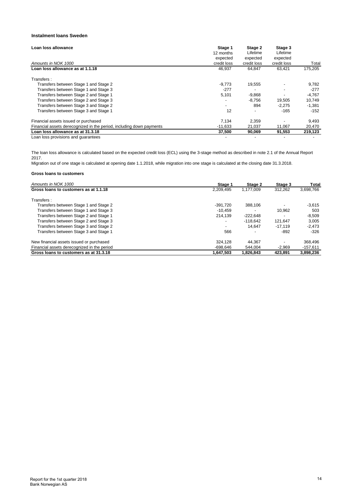## **Instalment loans Sweden**

| Loan loss allowance                                                  | Stage 1<br>12 months<br>expected | Stage 2<br>Lifetime<br>expected | Stage 3<br>Lifetime<br>expected |          |
|----------------------------------------------------------------------|----------------------------------|---------------------------------|---------------------------------|----------|
| Amounts in NOK 1000                                                  | credit loss                      | credit loss                     | credit loss                     | Total    |
| Loan loss allowance as at 1.1.18                                     | 46,937                           | 64.847                          | 63,421                          | 175,205  |
| Transfers:                                                           |                                  |                                 |                                 |          |
| Transfers between Stage 1 and Stage 2                                | $-9,773$                         | 19,555                          |                                 | 9,782    |
| Transfers between Stage 1 and Stage 3                                | $-277$                           |                                 |                                 | $-277$   |
| Transfers between Stage 2 and Stage 1                                | 5,101                            | $-9,868$                        |                                 | $-4,767$ |
| Transfers between Stage 2 and Stage 3                                | $\overline{\phantom{a}}$         | $-8.756$                        | 19,505                          | 10,749   |
| Transfers between Stage 3 and Stage 2                                | $\overline{\phantom{a}}$         | 894                             | $-2,275$                        | $-1,381$ |
| Transfers between Stage 3 and Stage 1                                | 12                               |                                 | $-165$                          | $-152$   |
| Financial assets issued or purchased                                 | 7,134                            | 2,359                           |                                 | 9,493    |
| Financial assets derecognized in the period, including down payments | $-11.633$                        | 21.037                          | 11.067                          | 20,470   |
| Loan loss allowance as at 31.3.18                                    | 37,500                           | 90,069                          | 91,553                          | 219,123  |
| Loan loss provisions and quarantees                                  |                                  |                                 |                                 |          |

The loan loss allowance is calculated based on the expected credit loss (ECL) using the 3-stage method as described in note 2.1 of the Annual Report 2017.

Migration out of one stage is calculated at opening date 1.1.2018, while migration into one stage is calculated at the closing date 31.3.2018.

| Amounts in NOK 1000                         | Stage 1                  | Stage 2    | Stage 3                  | Total      |
|---------------------------------------------|--------------------------|------------|--------------------------|------------|
| Gross loans to customers as at 1.1.18       | 2.209.495                | 1.177.009  | 312.262                  | 3,698,766  |
| Transfers:                                  |                          |            |                          |            |
| Transfers between Stage 1 and Stage 2       | $-391.720$               | 388.106    |                          | $-3,615$   |
| Transfers between Stage 1 and Stage 3       | $-10.459$                |            | 10.962                   | 503        |
| Transfers between Stage 2 and Stage 1       | 214.139                  | $-222.648$ | $\overline{\phantom{0}}$ | $-8.509$   |
| Transfers between Stage 2 and Stage 3       | $\overline{\phantom{a}}$ | $-118.642$ | 121.647                  | 3,005      |
| Transfers between Stage 3 and Stage 2       | $\overline{\phantom{a}}$ | 14.647     | $-17.119$                | $-2.473$   |
| Transfers between Stage 3 and Stage 1       | 566                      |            | -892                     | $-326$     |
| New financial assets issued or purchased    | 324.128                  | 44.367     |                          | 368.496    |
| Financial assets derecognized in the period | $-698.646$               | 544.004    | $-2.969$                 | $-157,611$ |
| Gross loans to customers as at 31.3.18      | 1.647.503                | 1.826.843  | 423.891                  | 3.898.236  |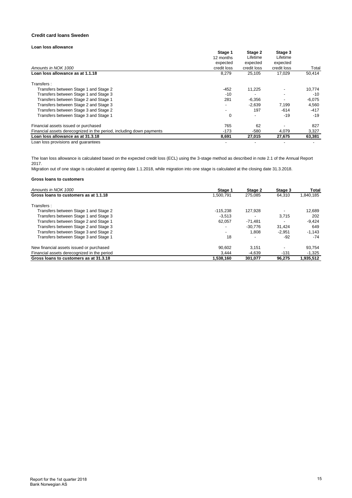#### **Credit card loans Sweden**

## **Loan loss allowance**

|                                                                      | Stage 1                  | Stage 2     | Stage 3              |          |
|----------------------------------------------------------------------|--------------------------|-------------|----------------------|----------|
|                                                                      | 12 months<br>expected    | Lifetime    | Lifetime<br>expected |          |
|                                                                      |                          | expected    |                      |          |
| Amounts in NOK 1000                                                  | credit loss              | credit loss | credit loss          | Total    |
| Loan loss allowance as at 1.1.18                                     | 8,279                    | 25,105      | 17,029               | 50,414   |
| Transfers :                                                          |                          |             |                      |          |
| Transfers between Stage 1 and Stage 2                                | $-452$                   | 11.225      |                      | 10,774   |
| Transfers between Stage 1 and Stage 3                                | $-10$                    |             |                      | -10      |
| Transfers between Stage 2 and Stage 1                                | 281                      | $-6,356$    |                      | $-6,075$ |
| Transfers between Stage 2 and Stage 3                                | -                        | $-2.639$    | 7.199                | 4,560    |
| Transfers between Stage 3 and Stage 2                                | $\overline{\phantom{0}}$ | 197         | $-614$               | $-417$   |
| Transfers between Stage 3 and Stage 1                                | 0                        |             | $-19$                | $-19$    |
| Financial assets issued or purchased                                 | 765                      | 62          |                      | 827      |
| Financial assets derecognized in the period, including down payments | $-173$                   | $-580$      | 4,079                | 3,327    |
| Loan loss allowance as at 31.3.18                                    | 8.691                    | 27.015      | 27.675               | 63,381   |
| Loan loss provisions and quarantons                                  |                          |             |                      |          |

Loan loss provisions and guarantees

The loan loss allowance is calculated based on the expected credit loss (ECL) using the 3-stage method as described in note 2.1 of the Annual Report 2017.

Migration out of one stage is calculated at opening date 1.1.2018, while migration into one stage is calculated at the closing date 31.3.2018.

| Amounts in NOK 1000                         | Stage 1                  | Stage 2                  | Stage 3  | Total     |
|---------------------------------------------|--------------------------|--------------------------|----------|-----------|
| Gross loans to customers as at 1.1.18       | 1.500.791                | 275.085                  | 64.310   | 1,840,185 |
| Transfers:                                  |                          |                          |          |           |
| Transfers between Stage 1 and Stage 2       | $-115.238$               | 127.928                  |          | 12,689    |
| Transfers between Stage 1 and Stage 3       | $-3.513$                 |                          | 3.715    | 202       |
| Transfers between Stage 2 and Stage 1       | 62.057                   | $-71.481$                |          | $-9.424$  |
| Transfers between Stage 2 and Stage 3       | $\overline{\phantom{a}}$ | $-30.776$                | 31.424   | 649       |
| Transfers between Stage 3 and Stage 2       | $\overline{\phantom{a}}$ | 1.808                    | $-2.951$ | $-1,143$  |
| Transfers between Stage 3 and Stage 1       | 18                       | $\overline{\phantom{0}}$ | $-92$    | $-74$     |
| New financial assets issued or purchased    | 90.602                   | 3.151                    |          | 93.754    |
| Financial assets derecognized in the period | 3.444                    | -4.639                   | $-131$   | $-1,325$  |
| Gross loans to customers as at 31.3.18      | 1.538.160                | 301.077                  | 96,275   | 1,935,512 |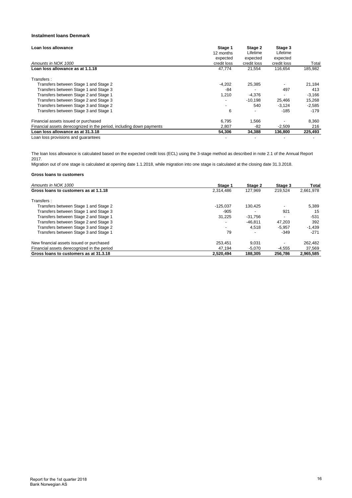## **Instalment loans Denmark**

| Loan loss allowance                                                  | Stage 1                  | Stage 2     | Stage 3     |          |
|----------------------------------------------------------------------|--------------------------|-------------|-------------|----------|
|                                                                      | 12 months                | Lifetime    | Lifetime    |          |
|                                                                      | expected                 | expected    | expected    |          |
| Amounts in NOK 1000                                                  | credit loss              | credit loss | credit loss | Total    |
| Loan loss allowance as at 1.1.18                                     | 47,774                   | 21.554      | 116.654     | 185.982  |
| Transfers:                                                           |                          |             |             |          |
| Transfers between Stage 1 and Stage 2                                | $-4,202$                 | 25,385      |             | 21,184   |
| Transfers between Stage 1 and Stage 3                                | -84                      |             | 497         | 413      |
| Transfers between Stage 2 and Stage 1                                | 1,210                    | $-4.376$    |             | $-3,166$ |
| Transfers between Stage 2 and Stage 3                                | $\overline{\phantom{0}}$ | $-10,198$   | 25,466      | 15,268   |
| Transfers between Stage 3 and Stage 2                                | -                        | 540         | $-3.124$    | $-2,585$ |
| Transfers between Stage 3 and Stage 1                                | 6                        |             | $-185$      | $-179$   |
| Financial assets issued or purchased                                 | 6.795                    | 1.566       |             | 8,360    |
| Financial assets derecognized in the period, including down payments | 2.807                    | $-82$       | $-2.509$    | 216      |
| Loan loss allowance as at 31.3.18                                    | 54,306                   | 34,388      | 136,800     | 225,493  |
| Loan loss provisions and quarantees                                  |                          |             |             |          |

The loan loss allowance is calculated based on the expected credit loss (ECL) using the 3-stage method as described in note 2.1 of the Annual Report 2017.

Migration out of one stage is calculated at opening date 1.1.2018, while migration into one stage is calculated at the closing date 31.3.2018.

| Amounts in NOK 1000                         | Stage 1                  | Stage 2   | Stage 3  | Total     |
|---------------------------------------------|--------------------------|-----------|----------|-----------|
| Gross loans to customers as at 1.1.18       | 2.314.486                | 127.969   | 219,524  | 2,661,978 |
| Transfers:                                  |                          |           |          |           |
| Transfers between Stage 1 and Stage 2       | $-125.037$               | 130,425   |          | 5,389     |
| Transfers between Stage 1 and Stage 3       | $-905$                   |           | 921      | 15        |
| Transfers between Stage 2 and Stage 1       | 31,225                   | $-31.756$ |          | $-531$    |
| Transfers between Stage 2 and Stage 3       | $\overline{\phantom{a}}$ | $-46.811$ | 47.203   | 392       |
| Transfers between Stage 3 and Stage 2       | $\overline{\phantom{a}}$ | 4.518     | $-5.957$ | $-1.439$  |
| Transfers between Stage 3 and Stage 1       | 79                       |           | $-349$   | $-271$    |
| New financial assets issued or purchased    | 253.451                  | 9.031     |          | 262,482   |
| Financial assets derecognized in the period | 47.194                   | $-5.070$  | $-4.555$ | 37,569    |
| Gross loans to customers as at 31.3.18      | 2.520.494                | 188.305   | 256.786  | 2.965.585 |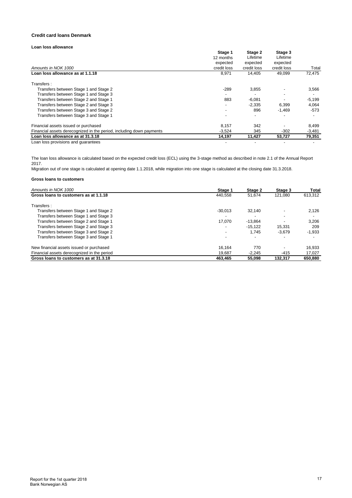#### **Credit card loans Denmark**

## **Loan loss allowance**

|                                                                      | Stage 1                  | Stage 2     | Stage 3     |          |
|----------------------------------------------------------------------|--------------------------|-------------|-------------|----------|
|                                                                      | 12 months                | Lifetime    | Lifetime    |          |
|                                                                      | expected                 | expected    | expected    |          |
| Amounts in NOK 1000                                                  | credit loss              | credit loss | credit loss | Total    |
| Loan loss allowance as at 1.1.18                                     | 8,971                    | 14.405      | 49,099      | 72,475   |
| Transfers:                                                           |                          |             |             |          |
| Transfers between Stage 1 and Stage 2                                | $-289$                   | 3,855       |             | 3,566    |
| Transfers between Stage 1 and Stage 3                                |                          |             |             |          |
| Transfers between Stage 2 and Stage 1                                | 883                      | $-6,081$    |             | $-5,199$ |
| Transfers between Stage 2 and Stage 3                                |                          | $-2.335$    | 6,399       | 4,064    |
| Transfers between Stage 3 and Stage 2                                | $\overline{\phantom{a}}$ | 896         | $-1.469$    | -573     |
| Transfers between Stage 3 and Stage 1                                |                          |             |             |          |
| Financial assets issued or purchased                                 | 8,157                    | 342         |             | 8,499    |
| Financial assets derecognized in the period, including down payments | $-3,524$                 | 345         | $-302$      | $-3,481$ |
| Loan loss allowance as at 31.3.18                                    | 14.197                   | 11.427      | 53.727      | 79,351   |
| Loan loss provisions and quarantoss                                  |                          |             |             |          |

Loan loss provisions and guarantees

The loan loss allowance is calculated based on the expected credit loss (ECL) using the 3-stage method as described in note 2.1 of the Annual Report 2017.

Migration out of one stage is calculated at opening date 1.1.2018, while migration into one stage is calculated at the closing date 31.3.2018.

| Amounts in NOK 1000                         | Stage 1                  | Stage 2   | Stage 3  | Total    |
|---------------------------------------------|--------------------------|-----------|----------|----------|
| Gross loans to customers as at 1.1.18       | 440.558                  | 51.674    | 121.080  | 613,312  |
| Transfers:                                  |                          |           |          |          |
| Transfers between Stage 1 and Stage 2       | $-30.013$                | 32.140    |          | 2,126    |
| Transfers between Stage 1 and Stage 3       | -                        |           |          |          |
| Transfers between Stage 2 and Stage 1       | 17.070                   | $-13.864$ |          | 3.206    |
| Transfers between Stage 2 and Stage 3       | $\overline{\phantom{0}}$ | $-15.122$ | 15.331   | 209      |
| Transfers between Stage 3 and Stage 2       | $\overline{\phantom{0}}$ | 1.745     | $-3.679$ | $-1,933$ |
| Transfers between Stage 3 and Stage 1       |                          |           |          |          |
| New financial assets issued or purchased    | 16.164                   | 770       |          | 16,933   |
| Financial assets derecognized in the period | 19.687                   | $-2.245$  | $-415$   | 17,027   |
| Gross loans to customers as at 31.3.18      | 463.465                  | 55.098    | 132.317  | 650,880  |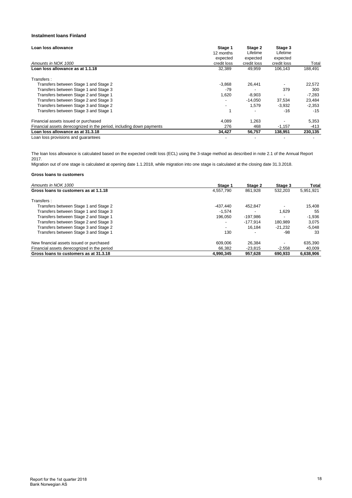## **Instalment loans Finland**

| Loan loss allowance                                                  | Stage 1<br>12 months     | Stage 2<br>Lifetime | Stage 3<br>Lifetime |          |
|----------------------------------------------------------------------|--------------------------|---------------------|---------------------|----------|
|                                                                      |                          |                     |                     |          |
|                                                                      | expected                 | expected            | expected            |          |
| Amounts in NOK 1000                                                  | credit loss              | credit loss         | credit loss         | Total    |
| Loan loss allowance as at 1.1.18                                     | 32,389                   | 49.959              | 106.143             | 188.491  |
| Transfers:                                                           |                          |                     |                     |          |
| Transfers between Stage 1 and Stage 2                                | $-3,868$                 | 26.441              |                     | 22,572   |
| Transfers between Stage 1 and Stage 3                                | $-79$                    |                     | 379                 | 300      |
| Transfers between Stage 2 and Stage 1                                | 1,620                    | $-8,903$            |                     | $-7,283$ |
| Transfers between Stage 2 and Stage 3                                | $\overline{\phantom{a}}$ | $-14.050$           | 37,534              | 23,484   |
| Transfers between Stage 3 and Stage 2                                | $\overline{\phantom{a}}$ | 1.579               | $-3,932$            | $-2,353$ |
| Transfers between Stage 3 and Stage 1                                |                          |                     | $-16$               | $-15$    |
| Financial assets issued or purchased                                 | 4.089                    | 1.263               |                     | 5,353    |
| Financial assets derecognized in the period, including down payments | 276                      | 468                 | $-1.157$            | -413     |
| Loan loss allowance as at 31.3.18                                    | 34,427                   | 56,757              | 138,951             | 230,135  |
| Loan loss provisions and quarantees                                  |                          |                     |                     |          |

The loan loss allowance is calculated based on the expected credit loss (ECL) using the 3-stage method as described in note 2.1 of the Annual Report 2017.

Migration out of one stage is calculated at opening date 1.1.2018, while migration into one stage is calculated at the closing date 31.3.2018.

| Amounts in NOK 1000                         | Stage 1                  | Stage 2    | Stage 3   | Total     |
|---------------------------------------------|--------------------------|------------|-----------|-----------|
| Gross loans to customers as at 1.1.18       | 4.557.790                | 861.928    | 532,203   | 5,951,921 |
| Transfers:                                  |                          |            |           |           |
| Transfers between Stage 1 and Stage 2       | $-437.440$               | 452.847    |           | 15.408    |
| Transfers between Stage 1 and Stage 3       | $-1.574$                 |            | 1.629     | 55        |
| Transfers between Stage 2 and Stage 1       | 196.050                  | $-197.986$ |           | $-1.936$  |
| Transfers between Stage 2 and Stage 3       | $\overline{\phantom{a}}$ | $-177.914$ | 180.989   | 3.075     |
| Transfers between Stage 3 and Stage 2       | $\overline{\phantom{a}}$ | 16.184     | $-21.232$ | $-5.048$  |
| Transfers between Stage 3 and Stage 1       | 130                      |            | -98       | 33        |
| New financial assets issued or purchased    | 609.006                  | 26.384     |           | 635,390   |
| Financial assets derecognized in the period | 66.382                   | $-23.815$  | $-2,558$  | 40,009    |
| Gross loans to customers as at 31.3.18      | 4.990.345                | 957.628    | 690.933   | 6.638.906 |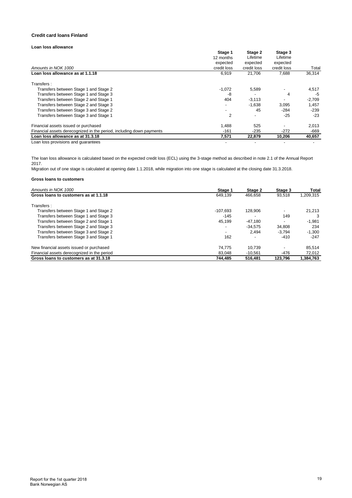#### **Credit card loans Finland**

## **Loan loss allowance**

|                                                                      | Stage 1                  | Stage 2<br>Lifetime | Stage 3<br>Lifetime |          |
|----------------------------------------------------------------------|--------------------------|---------------------|---------------------|----------|
|                                                                      | 12 months                |                     |                     |          |
|                                                                      | expected                 | expected            | expected            |          |
| Amounts in NOK 1000                                                  | credit loss              | credit loss         | credit loss         | Total    |
| Loan loss allowance as at 1.1.18                                     | 6,919                    | 21.706              | 7,688               | 36,314   |
| Transfers:                                                           |                          |                     |                     |          |
| Transfers between Stage 1 and Stage 2                                | $-1,072$                 | 5,589               |                     | 4,517    |
| Transfers between Stage 1 and Stage 3                                | -8                       |                     | 4                   | -5       |
| Transfers between Stage 2 and Stage 1                                | 404                      | $-3,113$            |                     | $-2,709$ |
| Transfers between Stage 2 and Stage 3                                |                          | $-1.638$            | 3,095               | 1,457    |
| Transfers between Stage 3 and Stage 2                                | $\overline{\phantom{a}}$ | 45                  | $-284$              | $-239$   |
| Transfers between Stage 3 and Stage 1                                | 2                        |                     | $-25$               | $-23$    |
| Financial assets issued or purchased                                 | 1,488                    | 525                 |                     | 2,013    |
| Financial assets derecognized in the period, including down payments | $-161$                   | $-235$              | $-272$              | $-669$   |
| Loan loss allowance as at 31.3.18                                    | 7.571                    | 22.879              | 10.206              | 40,657   |
| Loan loss provisions and quarantoss                                  |                          |                     |                     |          |

Loan loss provisions and guarantees

The loan loss allowance is calculated based on the expected credit loss (ECL) using the 3-stage method as described in note 2.1 of the Annual Report 2017.

Migration out of one stage is calculated at opening date 1.1.2018, while migration into one stage is calculated at the closing date 31.3.2018.

| Amounts in NOK 1000                         | Stage 1                  | Stage 2   | Stage 3  | Total     |
|---------------------------------------------|--------------------------|-----------|----------|-----------|
| Gross loans to customers as at 1.1.18       | 649.139                  | 466.658   | 93,518   | 1,209,315 |
| Transfers:                                  |                          |           |          |           |
| Transfers between Stage 1 and Stage 2       | $-107.693$               | 128.906   |          | 21.213    |
| Transfers between Stage 1 and Stage 3       | $-145$                   |           | 149      |           |
| Transfers between Stage 2 and Stage 1       | 45.199                   | $-47.180$ |          | $-1,981$  |
| Transfers between Stage 2 and Stage 3       | $\overline{\phantom{a}}$ | $-34.575$ | 34.808   | 234       |
| Transfers between Stage 3 and Stage 2       | $\overline{\phantom{a}}$ | 2.494     | $-3.794$ | $-1,300$  |
| Transfers between Stage 3 and Stage 1       | 162                      |           | $-410$   | $-247$    |
| New financial assets issued or purchased    | 74.775                   | 10.739    |          | 85,514    |
| Financial assets derecognized in the period | 83.048                   | $-10.561$ | -476     | 72,012    |
| Gross loans to customers as at 31.3.18      | 744.485                  | 516.481   | 123.796  | 1,384,763 |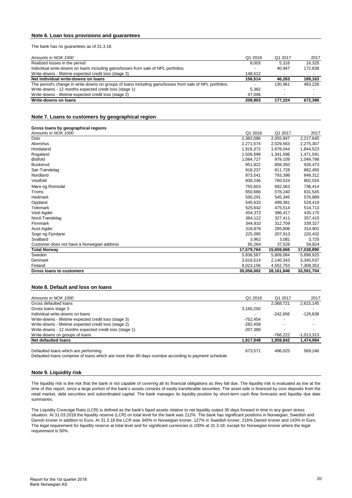## **Note 6. Loan loss provisions and guarantees**

The bank has no guarantees as of 31.3.18.

| Amounts in NOK 1000                                                                                      | Q1 2018 | Q1 2017 | 2017    |
|----------------------------------------------------------------------------------------------------------|---------|---------|---------|
| Realized losses in the period                                                                            | 8,003   | 5.316   | 16.325  |
| Individual write-downs on loans including gains/losses from sale of NPL portfolios                       |         | 40.947  | 172.838 |
| Write-downs - lifetime expected credit loss (stage 3)                                                    | 148.512 |         |         |
| Net individual write-downs on loans                                                                      | 156.514 | 46.263  | 189.163 |
| The period's change in write-downs on groups of loans including gains/losses from sale of NPL portfolios |         | 130.961 | 483.226 |
| Write-downs - 12 months expected credit loss (stage 1)                                                   | 5,382   |         |         |
| Write-downs - lifetime expected credit loss (stage 2)                                                    | 47.006  |         |         |
| Write-downs on loans                                                                                     | 208.903 | 177.224 | 672.388 |

#### **Note 7. Loans to customers by geographical region**

| Gross loans by geographical regions        |            |            |            |
|--------------------------------------------|------------|------------|------------|
| Amounts in NOK 1000                        | Q1 2018    | Q1 2017    | 2017       |
| Oslo                                       | 2,382,086  | 2,055,947  | 2,217,645  |
| Akershus                                   | 2,271,574  | 2,029,563  | 2,275,307  |
| Hordaland                                  | 1,916,372  | 1.678.044  | 1,844,523  |
| Rogaland                                   | 1,506,699  | 1,341,596  | 1,471,591  |
| Østfold                                    | 1,084,727  | 979,109    | 1,049,798  |
| <b>Buskerud</b>                            | 951.822    | 858,350    | 926,473    |
| Sør-Trøndelag                              | 918,237    | 811,728    | 882,450    |
| Nordland                                   | 873,541    | 793,398    | 849,312    |
| Vestfold                                   | 830,246    | 760,524    | 802,016    |
| Møre og Romsdal                            | 755,603    | 682,063    | 736,414    |
| Troms                                      | 650.686    | 578,240    | 631,545    |
| Hedmark                                    | 590,291    | 545,345    | 576,889    |
| Oppland                                    | 545,633    | 499,381    | 529,419    |
| Telemark                                   | 525,642    | 475,514    | 514,713    |
| Vest-Agder                                 | 454.373    | 396,417    | 435,170    |
| Nord-Trøndelag                             | 364,122    | 327,411    | 357,415    |
| Finnmark                                   | 344,910    | 312,709    | 339,327    |
| Aust-Agder                                 | 318,878    | 285,806    | 314,901    |
| Sogn og Fjordane                           | 225,095    | 207,913    | 220,432    |
| Svalbard                                   | 3,962      | 3,081      | 3,725      |
| Customer does not have a Norwegian address | 65,264     | 37,526     | 59,824     |
| <b>Total Norway</b>                        | 17,579,764 | 15,659,666 | 17,038,890 |
| Sweden                                     | 5,836,567  | 5,809,084  | 5,898,925  |
| Denmark                                    | 3,616,514  | 2,140,343  | 3,345,537  |
| Finland                                    | 8,023,156  | 4,552,753  | 7,308,352  |
| Gross loans to customers                   | 35,056,002 | 28,161,846 | 33,591,704 |

#### **Note 8. Default and loss on loans**

| Amounts in NOK 1000                                    | Q1 2018    | Q1 2017    | 2017         |
|--------------------------------------------------------|------------|------------|--------------|
| Gross defaulted loans                                  | -          | 2.068.721  | 2,615,145    |
| Gross loans stage 3                                    | 3,160,250  |            |              |
| Individual write-downs on loans                        |            | $-242.656$ | $-126.838$   |
| Write-downs - lifetime expected credit loss (stage 3)  | -752.454   |            |              |
| Write-downs - lifetime expected credit loss (stage 2)  | $-282.458$ |            |              |
| Write-downs - 12 months expected credit loss (stage 1) | $-207.388$ |            |              |
| Write-downs on groups of loans                         |            | -766.222   | $-1.013.313$ |
| <b>Net defaulted loans</b>                             | 1,917,949  | 1.059.842  | 1,474,994    |
| Defaulted loans which are performing                   | 673.571    | 496.025    | 569.246      |

Defaulted loans comprise of loans which are more than 90 days overdue according to payment schedule.

#### **Note 9. Liquidity risk**

The liquidity risk is the risk that the bank is not capable of covering all its financial obligations as they fall due. The liquidity risk is evaluated as low at the time of this report, since a large portion of the bank's assets consists of easily transferable securities. The asset side is financed by core deposits from the retail market, debt securities and subordinated capital. The bank manages its liquidity position by short-term cash flow forecasts and liquidity due date summaries.

The Liquidity Coverage Ratio (LCR) is defined as the bank's liquid assets relative to net liquidity output 30 days forward in time in any given stress situation. At 31.03.2018 the liquidity reserve (LCR) on total level for the bank was 212%. The bank has significant positions in Norwegian, Swedish and Danish kroner in addition to Euro. At 31.3.18 the LCR was 345% in Norwegian kroner, 127% in Swedish kroner, 216% Danish kroner and 143% in Euro. The legal requirement for liquidity reserve at total level and for significant currencies is 100% at 31.3.18, except for Norwegian kroner where the legal requirement is 50%.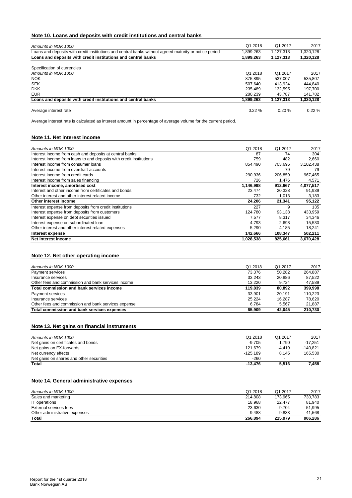## **Note 10. Loans and deposits with credit institutions and central banks**

| Amounts in NOK 1000                                                                                    | Q1 2018   | Q1 2017   | 2017      |
|--------------------------------------------------------------------------------------------------------|-----------|-----------|-----------|
| Loans and deposits with credit institutions and central banks without agreed maturity or notice period | 1.899.263 | 1.127.313 | 1,320,128 |
| Loans and deposits with credit institutions and central banks                                          | 1.899.263 | 1.127.313 | 1,320,128 |
| Specification of currencies                                                                            |           |           |           |
| Amounts in NOK 1000                                                                                    | Q1 2018   | Q1 2017   | 2017      |
| <b>NOK</b>                                                                                             | 875.895   | 537.007   | 535,807   |
| <b>SEK</b>                                                                                             | 507.640   | 413.924   | 444.840   |
| <b>DKK</b>                                                                                             | 235.489   | 132.595   | 197.700   |
| <b>EUR</b>                                                                                             | 280.239   | 43.787    | 141,782   |
| Loans and deposits with credit institutions and central banks                                          | 1,899,263 | 1.127.313 | 1,320,128 |
| Average interest rate                                                                                  | $0.22 \%$ | 0.20%     | 0.22%     |

Average interest rate is calculated as interest amount in percentage of average volume for the current period.

## **Note 11. Net interest income**

| Amounts in NOK 1000                                                 | Q1 2018   | Q1 2017 | 2017      |
|---------------------------------------------------------------------|-----------|---------|-----------|
| Interest income from cash and deposits at central banks             | 87        | 74      | 304       |
| Interest income from loans to and deposits with credit institutions | 759       | 482     | 2,660     |
| Interest income from consumer loans                                 | 854,490   | 703,696 | 3,102,438 |
| Interest income from overdraft accounts                             |           | 79      | 79        |
| Interest income from credit cards                                   | 290,936   | 206.859 | 967,465   |
| Interest income from sales financing                                | 726       | 1,476   | 4,571     |
| Interest income, amortised cost                                     | 1,146,998 | 912,667 | 4,077,517 |
| Interest and other income from certificates and bonds               | 23.474    | 20,328  | 91,939    |
| Other interest and other interest related income                    | 732       | 1,013   | 3,183     |
| Other interest income                                               | 24,206    | 21,341  | 95,122    |
| Interest expense from deposits from credit institutions             | 227       | 9       | 135       |
| Interest expense from deposits from customers                       | 124,780   | 93.138  | 433,959   |
| Interest expense on debt securities issued                          | 7,577     | 8.317   | 34,346    |
| Interest expense on subordinated loan                               | 4,793     | 2,698   | 15,530    |
| Other interest and other interest related expenses                  | 5,290     | 4,185   | 18,241    |
| Interest expense                                                    | 142,666   | 108,347 | 502,211   |
| Net interest income                                                 | 1,028,538 | 825,661 | 3,670,428 |

## **Note 12. Net other operating income**

| 210.730 |
|---------|
| 21.887  |
| 78.620  |
| 110.223 |
| 399.998 |
| 47.589  |
| 87.522  |
| 264.887 |
| 2017    |
|         |

## **Note 13. Net gains on financial instruments**

| Amounts in NOK 1000                      | Q1 2018    | Q1 2017                  | 2017       |
|------------------------------------------|------------|--------------------------|------------|
| Net gains on certificates and bonds      | $-9.705$   | 1.790                    | $-17.251$  |
| Net gains on FX-forwards                 | 121.679    | $-4.419$                 | $-140.821$ |
| Net currency effects                     | $-125.189$ | 8.145                    | 165.530    |
| Net gains on shares and other securities | $-260$     | $\overline{\phantom{a}}$ |            |
| Total                                    | $-13.476$  | 5.516                    | 7.458      |

## **Note 14. General administrative expenses**

| Amounts in NOK 1000           | Q1 2018 | Q1 2017 | 2017    |
|-------------------------------|---------|---------|---------|
| Sales and marketing           | 214.808 | 173.965 | 730,783 |
| IT operations                 | 18.968  | 22.477  | 81.940  |
| External services fees        | 23,630  | 9.704   | 51,995  |
| Other administrative expenses | 9.488   | 9.833   | 41.568  |
| Total                         | 266.894 | 215.979 | 906.286 |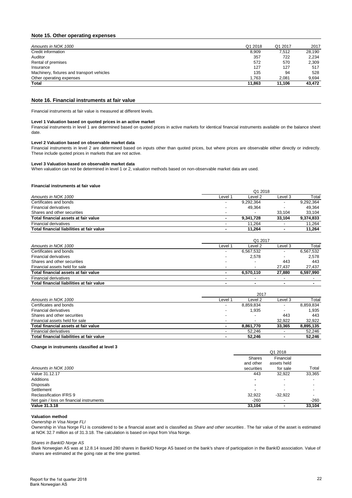## **Note 15. Other operating expenses**

| Amounts in NOK 1000                        | Q1 2018 | Q1 2017 | 2017   |
|--------------------------------------------|---------|---------|--------|
| Credit information                         | 8,909   | 7.512   | 28,190 |
| Auditor                                    | 357     | 722     | 2,234  |
| Rental of premises                         | 572     | 570     | 2,309  |
| Insurance                                  | 127     | 127     | 517    |
| Machinery, fixtures and transport vehicles | 135     | 94      | 528    |
| Other operating expenses                   | 1.763   | 2.081   | 9.694  |
| Total                                      | 11.863  | 11.106  | 43.472 |
|                                            |         |         |        |

## **Note 16. Financial instruments at fair value**

Financial instruments at fair value is measured at different levels.

#### **Level 1 Valuation based on quoted prices in an active market**

Financial instruments in level 1 are determined based on quoted prices in active markets for identical financial instruments available on the balance sheet date.

#### **Level 2 Valuation based on observable market data**

Financial instruments in level 2 are determined based on inputs other than quoted prices, but where prices are observable either directly or indirectly. These include quoted prices in markets that are not active.

#### **Level 3 Valuation based on observable market data**

When valuation can not be determined in level 1 or 2, valuation methods based on non-observable market data are used.

#### **Financial instruments at fair value**

|                                           | Q1 2018 |           |         |           |  |
|-------------------------------------------|---------|-----------|---------|-----------|--|
| Amounts in NOK 1000                       | Level 1 | Level 2   | Level 3 | Total     |  |
| Certificates and bonds                    |         | 9,292,364 |         | 9,292,364 |  |
| <b>Financial derivatives</b>              |         | 49.364    |         | 49.364    |  |
| Shares and other securities               |         |           | 33.104  | 33.104    |  |
| Total financial assets at fair value      |         | 9.341.728 | 33.104  | 9,374,833 |  |
| <b>Financial derivatives</b>              |         | 11.264    |         | 11.264    |  |
| Total financial liabilities at fair value |         | 11.264    |         | 11.264    |  |

|                                           | Q1 2017                  |           |                          |           |
|-------------------------------------------|--------------------------|-----------|--------------------------|-----------|
| Amounts in NOK 1000                       | Level 1                  | Level 2   | Level 3                  | Total     |
| Certificates and bonds                    | $\overline{\phantom{a}}$ | 6,567,532 |                          | 6,567,532 |
| Financial derivatives                     |                          | 2,578     |                          | 2,578     |
| Shares and other securities               |                          |           | 443                      | 443       |
| Financial assets held for sale            |                          |           | 27.437                   | 27.437    |
| Total financial assets at fair value      |                          | 6.570.110 | 27.880                   | 6.597.990 |
| <b>Financial derivatives</b>              | $\overline{\phantom{a}}$ |           | $\overline{\phantom{0}}$ |           |
| Total financial liabilities at fair value |                          |           |                          |           |

|                                           | 2017                     |           |         |           |  |
|-------------------------------------------|--------------------------|-----------|---------|-----------|--|
| Amounts in NOK 1000                       | Level <sup>4</sup>       | Level 2   | Level 3 | Total     |  |
| Certificates and bonds                    | $\overline{\phantom{a}}$ | 8,859,834 |         | 8,859,834 |  |
| <b>Financial derivatives</b>              | $\overline{\phantom{a}}$ | 1.935     |         | 1,935     |  |
| Shares and other securities               |                          |           | 443     | 443       |  |
| Financial assets held for sale            | $\overline{\phantom{a}}$ |           | 32.922  | 32.922    |  |
| Total financial assets at fair value      | ۰.                       | 8.861.770 | 33.365  | 8,895,135 |  |
| <b>Financial derivatives</b>              | -                        | 52.246    |         | 52,246    |  |
| Total financial liabilities at fair value | ۰.                       | 52.246    |         | 52.246    |  |

#### **Change in instruments classified at level 3**

| $\sim$                                   |               | Q1 2018                  |        |
|------------------------------------------|---------------|--------------------------|--------|
|                                          | <b>Shares</b> | Financial                |        |
|                                          | and other     | assets held              |        |
| Amounts in NOK 1000                      | securities    | for sale                 | Total  |
| Value 31.12.17                           | 443           | 32,922                   | 33,365 |
| Additions                                |               | $\overline{\phantom{a}}$ |        |
| <b>Disposals</b>                         |               | $\overline{\phantom{a}}$ |        |
| Settlement                               |               | $\overline{\phantom{0}}$ |        |
| <b>Reclassification IFRS 9</b>           | 32,922        | $-32,922$                |        |
| Net gain / loss on financial instruments | $-260$        |                          | $-260$ |
| <b>Value 31.3.18</b>                     | 33,104        |                          | 33,104 |

#### **Valuation method**

*Ownership in Visa Norge FLI*

Ownership in Visa Norge FLI is considered to be a financial asset and is classified as *Share and other securities* . The fair value of the asset is estimated at NOK 32.7 million as of 31.3.18. The calculation is based on input from Visa Norge.

#### *Shares in BankID Norge AS*

Bank Norwegian AS was at 12.8.14 issued 280 shares in BankID Norge AS based on the bank's share of participation in the BankID association. Value of shares are estimated at the going rate at the time granted.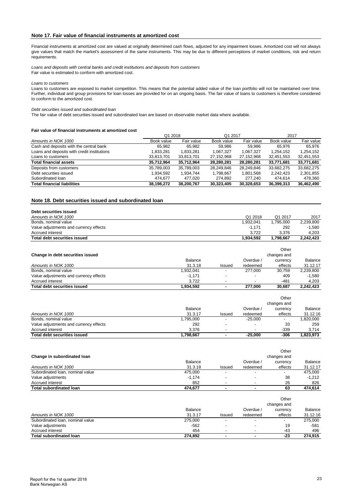## **Note 17. Fair value of financial instruments at amortized cost**

Financial instruments at amortized cost are valued at originally determined cash flows, adjusted for any impairment losses. Amortized cost will not always give values that match the market's assessment of the same instruments. This may be due to different perceptions of market conditions, risk and return requirements.

*Loans and deposits with central banks and credit institutions and deposits from customers* Fair value is estimated to conform with amortized cost.

*Loans to customers*

Loans to customers are exposed to market competition. This means that the potential added value of the loan portfolio will not be maintained over time. Further, individual and group provisions for loan losses are provided for on an ongoing basis. The fair value of loans to customers is therefore considered to conform to the amortized cost.

*Debt securities issued and subordinated loan*

The fair value of debt securities issued and subordinated loan are based on observable market data where available.

#### **Fair value of financial instruments at amortized cost**

|                                             | Q1 2018    |            | Q1 2017    |            | 2017       |            |
|---------------------------------------------|------------|------------|------------|------------|------------|------------|
| Amounts in NOK 1000                         | Book value | Fair value | Book value | Fair value | Book value | Fair value |
| Cash and deposits with the central bank     | 65.982     | 65.982     | 59.986     | 59.986     | 65.976     | 65.976     |
| Loans and deposits with credit institutions | 1.833.281  | 1.833.281  | 1.067.327  | 1.067.327  | 1.254.152  | 1.254.152  |
| Loans to customers                          | 33,813,701 | 33,813,701 | 27.152.968 | 27.152.968 | 32,451,553 | 32,451,553 |
| <b>Total financial assets</b>               | 35,712,964 | 35,712,964 | 28.280.281 | 28,280,281 | 33,771,681 | 33,771,681 |
| Deposits from customers                     | 35.789.003 | 35.789.003 | 28.249.846 | 28.249.846 | 33.682.275 | 33.682.275 |
| Debt securities issued                      | 1.934.592  | 1.934.744  | 1.798.667  | 1,801,568  | 2.242.423  | 2,301,855  |
| Subordinated loan                           | 474.677    | 477.020    | 274.892    | 277.240    | 474.614    | 478.360    |
| <b>Total financial liabilities</b>          | 38.198.272 | 38.200.767 | 30.323.405 | 30.328.653 | 36.399.313 | 36,462,490 |

#### **Note 18. Debt securities issued and subordinated loan**

| Debt securities issued                 |           |                          |           |             |           |
|----------------------------------------|-----------|--------------------------|-----------|-------------|-----------|
| Amounts in NOK 1000                    |           |                          | Q1 2018   | Q1 2017     | 2017      |
| Bonds, nominal value                   |           |                          | 1,932,041 | 1,795,000   | 2,239,800 |
| Value adjustments and currency effects |           |                          | $-1,171$  | 292         | $-1,580$  |
| Accrued interest                       |           |                          | 3,722     | 3,376       | 4,203     |
| <b>Total debt securities issued</b>    |           |                          | 1,934,592 | 1,798,667   | 2,242,423 |
|                                        |           |                          |           | Other       |           |
| Change in debt securities issued       |           |                          |           | changes and |           |
|                                        | Balance   |                          | Overdue / | currency    | Balance   |
| Amounts in NOK 1000                    | 31.3.18   | Issued                   | redeemed  | effects     | 31.12.17  |
| Bonds, nominal value                   | 1,932,041 | $\overline{\phantom{0}}$ | 277,000   | 30,759      | 2,239,800 |
| Value adjustments and currency effects | $-1,171$  | ٠                        |           | 409         | $-1,580$  |
| Accrued interest                       | 3,722     | $\overline{\phantom{a}}$ |           | $-481$      | 4,203     |
| <b>Total debt securities issued</b>    | 1,934,592 | ۰                        | 277,000   | 30,687      | 2,242,423 |
|                                        |           |                          |           | Other       |           |
|                                        |           |                          |           | changes and |           |

| Total debt securities issued           | 1.798.667      | $\sim$                   | -25.000                  | -306                     | 1.823.973 |
|----------------------------------------|----------------|--------------------------|--------------------------|--------------------------|-----------|
| Accrued interest                       | 3.376          | $\overline{\phantom{a}}$ | $\overline{\phantom{0}}$ | -339                     | 3.714     |
| Value adjustments and currency effects | 292            | -                        |                          | 33                       | 259       |
| Bonds, nominal value                   | .795.000       | -                        | $-25.000$                | $\overline{\phantom{a}}$ | .820.000  |
| Amounts in NOK 1000                    | 31.3.17        | Issued                   | redeemed                 | effects                  | 31.12.16  |
|                                        | <b>Balance</b> |                          | Overdue                  | currency                 | Balance   |
|                                        |                |                          |                          | changes and              |           |

|                                  |          |                          |           | Other                   |          |
|----------------------------------|----------|--------------------------|-----------|-------------------------|----------|
| Change in subordinated loan      | Balance  |                          | Overdue / | changes and<br>currency | Balance  |
| Amounts in NOK 1000              | 31.3.18  | Issued                   | redeemed  | effects                 | 31.12.17 |
| Subordinated Ioan, nominal value | 475,000  |                          |           |                         | 475.000  |
| Value adjustments                | $-1,174$ | $\overline{\phantom{a}}$ |           | 38                      | $-1.212$ |
| Accrued interest                 | 852      | $\overline{\phantom{a}}$ |           | 26                      | 826      |
| <b>Total subordinated loan</b>   | 474.677  | ۰.                       |           | 63                      | 474.614  |

|                                  |         |        |                          | Other       |          |
|----------------------------------|---------|--------|--------------------------|-------------|----------|
|                                  |         |        |                          | changes and |          |
|                                  | Balance |        | Overdue /                | currency    | Balance  |
| Amounts in NOK 1000              | 31.3.17 | Issued | redeemed                 | effects     | 31.12.16 |
| Subordinated Ioan, nominal value | 275,000 |        | $\overline{\phantom{0}}$ |             | 275,000  |
| Value adjustments                | $-562$  |        |                          | 19          | $-581$   |
| Accrued interest                 | 454     |        |                          | $-43$       | 496      |
| <b>Total subordinated loan</b>   | 274.892 |        |                          | $-23$       | 274,915  |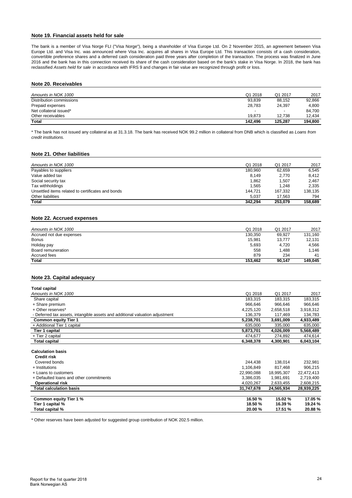## **Note 19. Financial assets held for sale**

The bank is a member of Visa Norge FLI ("Visa Norge"), being a shareholder of Visa Europe Ltd. On 2 November 2015, an agreement between Visa Europe Ltd. and Visa Inc. was announced where Visa Inc. acquires all shares in Visa Europe Ltd. This transaction consists of a cash consideration, convertible preference shares and a deferred cash consideration paid three years after completion of the transaction. The process was finalized in June 2016 and the bank has in this connection received its share of the cash consideration based on the bank's stake in Visa Norge. In 2018, the bank has reclassified *Assets held for sale* in accordance with IFRS 9 and changes in fair value are recognized through profit or loss.

#### **Note 20. Receivables**

| Amounts in NOK 1000      | Q1 2018 | Q1 2017 | 2017    |
|--------------------------|---------|---------|---------|
| Distribution commissions | 93,839  | 88.152  | 92.866  |
| Prepaid expenses         | 28,783  | 24.397  | 4.800   |
| Net collateral issued*   |         |         | 84.700  |
| Other receivables        | 19.873  | 12.738  | 12.434  |
| <b>Total</b>             | 142.496 | 125.287 | 194.800 |

\* The bank has not issued any collateral as at 31.3.18. The bank has received NOK 99.2 million in collateral from DNB which is classified as *Loans from credit institutions.*

#### **Note 21. Other liabilities**

| Amounts in NOK 1000                               | Q1 2018 | Q1 2017 | 2017    |
|---------------------------------------------------|---------|---------|---------|
| Payables to suppliers                             | 180.960 | 62.659  | 6.545   |
| Value added tax                                   | 8.149   | 2,770   | 8.412   |
| Social security tax                               | 1.862   | 1.507   | 2.467   |
| Tax withholdings                                  | 1.565   | 1.248   | 2.335   |
| Unsettled items related to certificates and bonds | 144.721 | 167.332 | 138.135 |
| Other liabilities                                 | 5.037   | 17.563  | 794     |
| Total                                             | 342.294 | 253.079 | 158.689 |

# **Note 22. Accrued expenses**

| Total                    | 153.462 | 90.147  | 149.045 |
|--------------------------|---------|---------|---------|
| Accrued fees             | 879     | 234     | 41      |
| Board remuneration       | 558     | 1.488   | 1.146   |
| Holiday pay              | 5,693   | 4.720   | 4.566   |
| <b>Bonus</b>             | 15,981  | 13.777  | 12,131  |
| Accrued not due expenses | 130,350 | 69,927  | 131,160 |
| Amounts in NOK 1000      | Q1 2018 | Q1 2017 | 2017    |
|                          |         |         |         |

## **Note 23. Capital adequacy**

| <b>Total capital</b>                                                         |            |            |            |
|------------------------------------------------------------------------------|------------|------------|------------|
| Amounts in NOK 1000                                                          | Q1 2018    | Q1 2017    | 2017       |
| Share capital                                                                | 183,315    | 183,315    | 183,315    |
| + Share premium                                                              | 966,646    | 966,646    | 966,646    |
| + Other reserves*                                                            | 4,225,120  | 2,658,518  | 3,918,312  |
| - Deferred tax assets, intangible assets and additional valuation adjustment | 136,379    | 117,469    | 134,783    |
| <b>Common equity Tier 1</b>                                                  | 5,238,701  | 3,691,009  | 4,933,489  |
| + Additional Tier 1 capital                                                  | 635,000    | 335,000    | 635,000    |
| Tier 1 capital                                                               | 5,873,701  | 4,026,009  | 5,568,489  |
| + Tier 2 capital                                                             | 474,677    | 274,892    | 474,614    |
| <b>Total capital</b>                                                         | 6,348,378  | 4,300,901  | 6,043,104  |
| <b>Calculation basis</b><br><b>Credit risk</b>                               |            |            |            |
| Covered bonds                                                                | 244,438    | 138,014    | 232,981    |
| + Institutions                                                               | 1,106,849  | 817,468    | 906,215    |
| + Loans to customers                                                         | 22,990,088 | 18,995,307 | 22,472,413 |
| + Defaulted loans and other commitments                                      | 3,386,035  | 1,981,691  | 2,719,400  |
| <b>Operational risk</b>                                                      | 4,020,267  | 2,633,455  | 2,608,215  |
| <b>Total calculation basis</b>                                               | 31,747,678 | 24,565,934 | 28,939,225 |
|                                                                              |            |            |            |
| Common equity Tier 1 %                                                       | 16.50 %    | 15.02 %    | 17.05 %    |
| Tier 1 capital %                                                             | 18.50 %    | 16.39 %    | 19.24 %    |
| Total capital %                                                              | 20.00%     | 17.51 %    | 20.88%     |

\* Other reserves have been adjusted for suggested group contribution of NOK 202.5 million.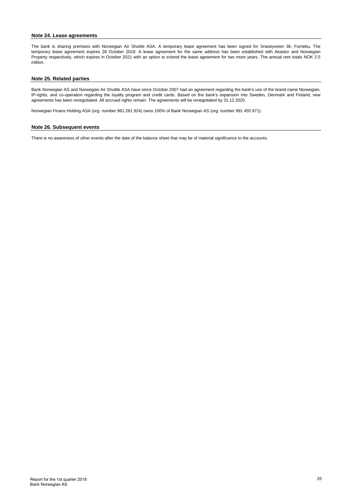#### **Note 24. Lease agreements**

The bank is sharing premises with Norwegian Air Shuttle ASA. A temporary lease agreement has been signed for Snarøyveien 36, Fornebu. The temporary lease agreement expires 28 October 2019. A lease agreement for the same address has been established with Akastor and Norwegian Property respectively, which expires in October 2021 with an option to extend the lease agreement for two more years. The annual rent totals NOK 2.5 million.

#### **Note 25. Related parties**

Bank Norwegian AS and Norwegian Air Shuttle ASA have since October 2007 had an agreement regarding the bank's use of the brand name Norwegian, IP-rights, and co-operation regarding the loyalty program and credit cards. Based on the bank's expansion into Sweden, Denmark and Finland, new agreements has been renegotiated. All accrued rights remain. The agreements will be renegotiated by 31.12.2020.

Norwegian Finans Holding ASA (org. number 991 281 924) owns 100% of Bank Norwegian AS (org. number 991 455 671).

#### **Note 26. Subsequent events**

There is no awareness of other events after the date of the balance sheet that may be of material significance to the accounts.